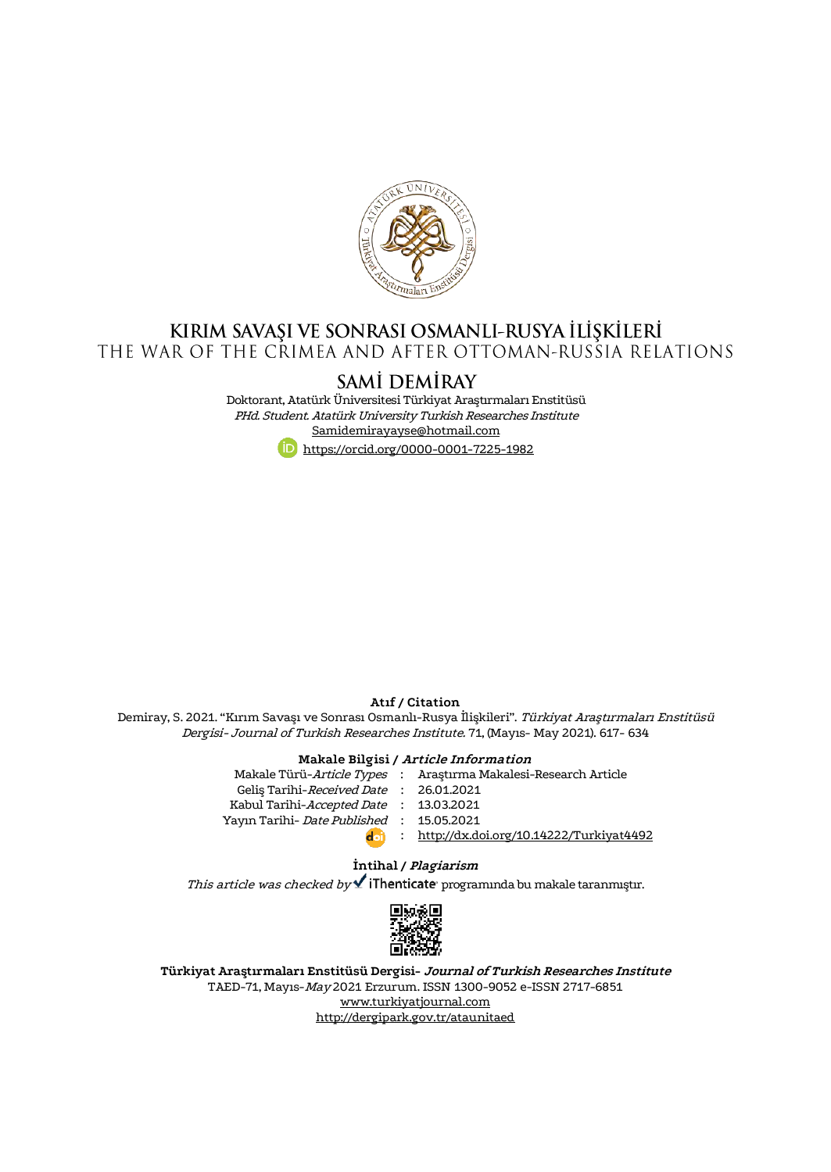

# KIRIM SAVAŞI VE SONRASI OSMANLI-RUSYA İLİŞKİLERİ<br>The War of the crimea and after ottoman-russia relations

# SAMI DEMIRAY

Doktorant, Atatürk Üniversitesi Türkiyat Araştırmaları Enstitüsü PHd. Student. Atatürk University Turkish Researches Institute [Samidemirayayse@hotmail.com](mailto:Samidemirayayse@hotmail.com) <https://orcid.org/0000-0001-7225-1982>

#### **Atıf / Citation**

Demiray, S. 2021. "Kırım Savaşı ve Sonrası Osmanlı-Rusya İlişkileri". Türkiyat Araştırmaları Enstitüsü Dergisi- Journal of Turkish Researches Institute. 71, (Mayıs- May 2021). 617- 634

#### **Makale Bilgisi / Article Information**

| Makale Türü- <i>Article Types</i> :      | Araştırma Makalesi-Research Article       |
|------------------------------------------|-------------------------------------------|
| Gelis Tarihi-Received Date: 26.01.2021   |                                           |
| Kabul Tarihi-Accepted Date : 13.03.2021  |                                           |
| Yayın Tarihi- Date Published: 15.05.2021 |                                           |
| d <sub>0</sub>                           | : http://dx.doi.org/10.14222/Turkiyat4492 |

#### **İntihal / Plagiarism**

This article was checked by  $\checkmark$  iThenticate programında bu makale taranmıştır.



**Türkiyat Araştırmaları Enstitüsü Dergisi- Journal of Turkish Researches Institute** TAED-71, Mayıs-May 2021 Erzurum. ISSN 1300-9052 e-ISSN 2717-6851 [www.turkiyatjournal.com](http://www.turkiyatjournal.com/) <http://dergipark.gov.tr/ataunitaed>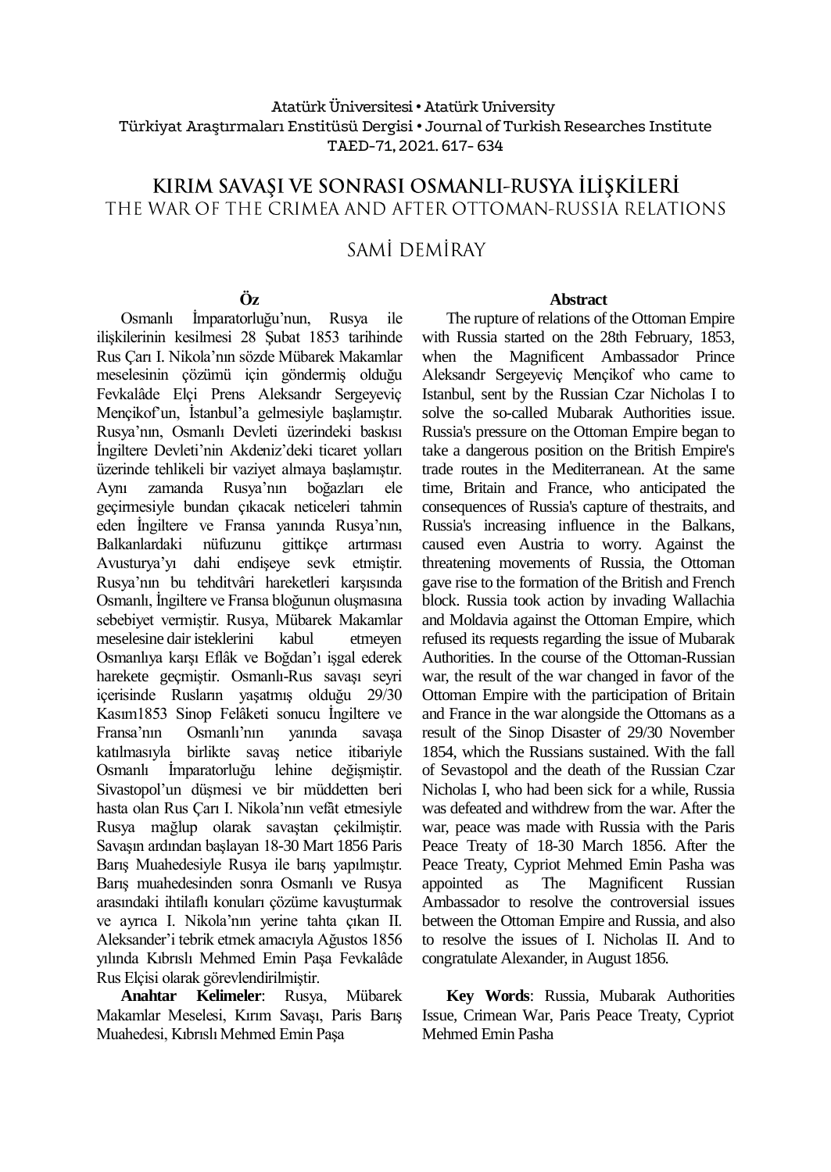## Atatürk Üniversitesi• Atatürk University Türkiyat Araştırmaları Enstitüsü Dergisi • Journal of Turkish Researches Institute TAED-71, 2021.617- 634

# KIRIM SAVAŞI VE SONRASI OSMANLI-RUSYA İLİŞKİLERİ THE WAR OF THE CRIMEA AND AFTER OTTOMAN-RUSSIA RELATIONS

# SAMİ DEMİRAY

### **Öz**

Osmanlı İmparatorluğu'nun, Rusya ile ilişkilerinin kesilmesi 28 Şubat 1853 tarihinde Rus Çarı I. Nikola'nın sözde Mübarek Makamlar meselesinin çözümü için göndermiş olduğu Fevkalâde Elçi Prens Aleksandr Sergeyeviç Mençikof'un, İstanbul'a gelmesiyle başlamıştır. Rusya'nın, Osmanlı Devleti üzerindeki baskısı İngiltere Devleti'nin Akdeniz'deki ticaret yolları üzerinde tehlikeli bir vaziyet almaya başlamıştır. Aynı zamanda Rusya'nın boğazları ele geçirmesiyle bundan çıkacak neticeleri tahmin eden İngiltere ve Fransa yanında Rusya'nın, Balkanlardaki nüfuzunu gittikçe artırması Avusturya'yı dahi endişeye sevk etmiştir. Rusya'nın bu tehditvâri hareketleri karşısında Osmanlı, İngiltere ve Fransa bloğunun oluşmasına sebebiyet vermiştir. Rusya, Mübarek Makamlar meselesine dair isteklerini kabul etmeyen Osmanlıya karşı Eflâk ve Boğdan'ı işgal ederek harekete geçmiştir. Osmanlı-Rus savaşı seyri içerisinde Rusların yaşatmış olduğu 29/30 Kasım1853 Sinop Felâketi sonucu İngiltere ve Fransa'nın Osmanlı'nın yanında savaşa katılmasıyla birlikte savaş netice itibariyle Osmanlı İmparatorluğu lehine değişmiştir. Sivastopol'un düşmesi ve bir müddetten beri hasta olan Rus Çarı I. Nikola'nın vefât etmesiyle Rusya mağlup olarak savaştan çekilmiştir. Savaşın ardından başlayan 18-30 Mart 1856 Paris Barış Muahedesiyle Rusya ile barış yapılmıştır. Barış muahedesinden sonra Osmanlı ve Rusya arasındaki ihtilaflı konuları çözüme kavuşturmak ve ayrıca I. Nikola'nın yerine tahta çıkan II. Aleksander'i tebrik etmek amacıyla Ağustos 1856 yılında Kıbrıslı Mehmed Emin Paşa Fevkalâde Rus Elçisi olarak görevlendirilmiştir.

**Anahtar Kelimeler**: Rusya, Mübarek Makamlar Meselesi, Kırım Savaşı, Paris Barış Muahedesi, Kıbrıslı Mehmed Emin Paşa

#### **Abstract**

The rupture of relations of the Ottoman Empire with Russia started on the 28th February, 1853, when the Magnificent Ambassador Prince Aleksandr Sergeyeviç Mençikof who came to Istanbul, sent by the Russian Czar Nicholas I to solve the so-called Mubarak Authorities issue. Russia's pressure on the Ottoman Empire began to take a dangerous position on the British Empire's trade routes in the Mediterranean. At the same time, Britain and France, who anticipated the consequences of Russia's capture of thestraits, and Russia's increasing influence in the Balkans, caused even Austria to worry. Against the threatening movements of Russia, the Ottoman gave rise to the formation of the British and French block. Russia took action by invading Wallachia and Moldavia against the Ottoman Empire, which refused its requests regarding the issue of Mubarak Authorities. In the course of the Ottoman-Russian war, the result of the war changed in favor of the Ottoman Empire with the participation of Britain and France in the war alongside the Ottomans as a result of the Sinop Disaster of 29/30 November 1854, which the Russians sustained. With the fall of Sevastopol and the death of the Russian Czar Nicholas I, who had been sick for a while, Russia was defeated and withdrew from the war. After the war, peace was made with Russia with the Paris Peace Treaty of 18-30 March 1856. After the Peace Treaty, Cypriot Mehmed Emin Pasha was appointed as The Magnificent Russian Ambassador to resolve the controversial issues between the Ottoman Empire and Russia, and also to resolve the issues of I. Nicholas II. And to congratulate Alexander, in August 1856.

**Key Words**: Russia, Mubarak Authorities Issue, Crimean War, Paris Peace Treaty, Cypriot Mehmed Emin Pasha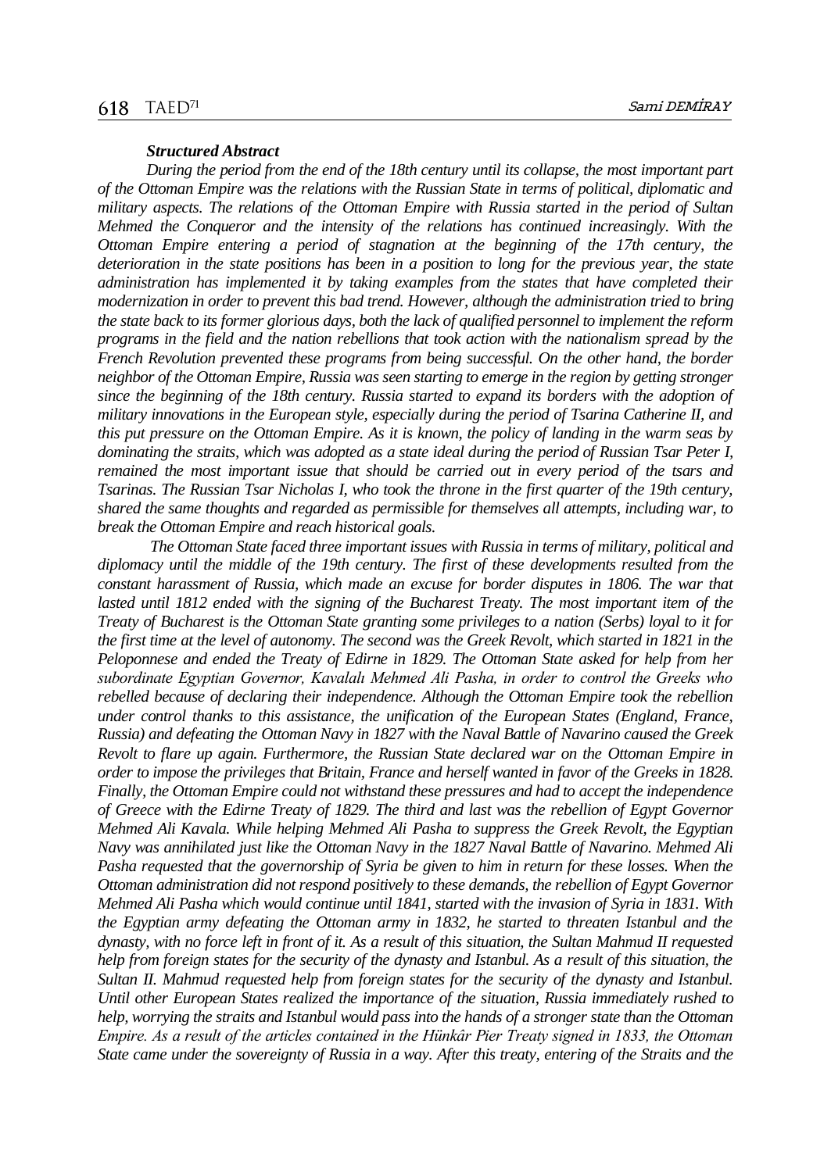#### *Structured Abstract*

*During the period from the end of the 18th century until its collapse, the most important part of the Ottoman Empire was the relations with the Russian State in terms of political, diplomatic and military aspects. The relations of the Ottoman Empire with Russia started in the period of Sultan Mehmed the Conqueror and the intensity of the relations has continued increasingly. With the Ottoman Empire entering a period of stagnation at the beginning of the 17th century, the deterioration in the state positions has been in a position to long for the previous year, the state administration has implemented it by taking examples from the states that have completed their modernization in order to prevent this bad trend. However, although the administration tried to bring the state back to its former glorious days, both the lack of qualified personnel to implement the reform programs in the field and the nation rebellions that took action with the nationalism spread by the French Revolution prevented these programs from being successful. On the other hand, the border neighbor of the Ottoman Empire, Russia was seen starting to emerge in the region by getting stronger since the beginning of the 18th century. Russia started to expand its borders with the adoption of military innovations in the European style, especially during the period of Tsarina Catherine II, and this put pressure on the Ottoman Empire. As it is known, the policy of landing in the warm seas by dominating the straits, which was adopted as a state ideal during the period of Russian Tsar Peter I, remained the most important issue that should be carried out in every period of the tsars and Tsarinas. The Russian Tsar Nicholas I, who took the throne in the first quarter of the 19th century, shared the same thoughts and regarded as permissible for themselves all attempts, including war, to break the Ottoman Empire and reach historical goals.*

*The Ottoman State faced three important issues with Russia in terms of military, political and diplomacy until the middle of the 19th century. The first of these developments resulted from the constant harassment of Russia, which made an excuse for border disputes in 1806. The war that*  lasted until 1812 ended with the signing of the Bucharest Treaty. The most important item of the *Treaty of Bucharest is the Ottoman State granting some privileges to a nation (Serbs) loyal to it for the first time at the level of autonomy. The second was the Greek Revolt, which started in 1821 in the Peloponnese and ended the Treaty of Edirne in 1829. The Ottoman State asked for help from her subordinate Egyptian Governor, Kavalalı Mehmed Ali Pasha, in order to control the Greeks who rebelled because of declaring their independence. Although the Ottoman Empire took the rebellion under control thanks to this assistance, the unification of the European States (England, France, Russia) and defeating the Ottoman Navy in 1827 with the Naval Battle of Navarino caused the Greek Revolt to flare up again. Furthermore, the Russian State declared war on the Ottoman Empire in order to impose the privileges that Britain, France and herself wanted in favor of the Greeks in 1828. Finally, the Ottoman Empire could not withstand these pressures and had to accept the independence of Greece with the Edirne Treaty of 1829. The third and last was the rebellion of Egypt Governor Mehmed Ali Kavala. While helping Mehmed Ali Pasha to suppress the Greek Revolt, the Egyptian Navy was annihilated just like the Ottoman Navy in the 1827 Naval Battle of Navarino. Mehmed Ali Pasha requested that the governorship of Syria be given to him in return for these losses. When the Ottoman administration did not respond positively to these demands, the rebellion of Egypt Governor Mehmed Ali Pasha which would continue until 1841, started with the invasion of Syria in 1831. With the Egyptian army defeating the Ottoman army in 1832, he started to threaten Istanbul and the dynasty, with no force left in front of it. As a result of this situation, the Sultan Mahmud II requested help from foreign states for the security of the dynasty and Istanbul. As a result of this situation, the Sultan II. Mahmud requested help from foreign states for the security of the dynasty and Istanbul. Until other European States realized the importance of the situation, Russia immediately rushed to help, worrying the straits and Istanbul would pass into the hands of a stronger state than the Ottoman Empire. As a result of the articles contained in the Hünkâr Pier Treaty signed in 1833, the Ottoman State came under the sovereignty of Russia in a way. After this treaty, entering of the Straits and the*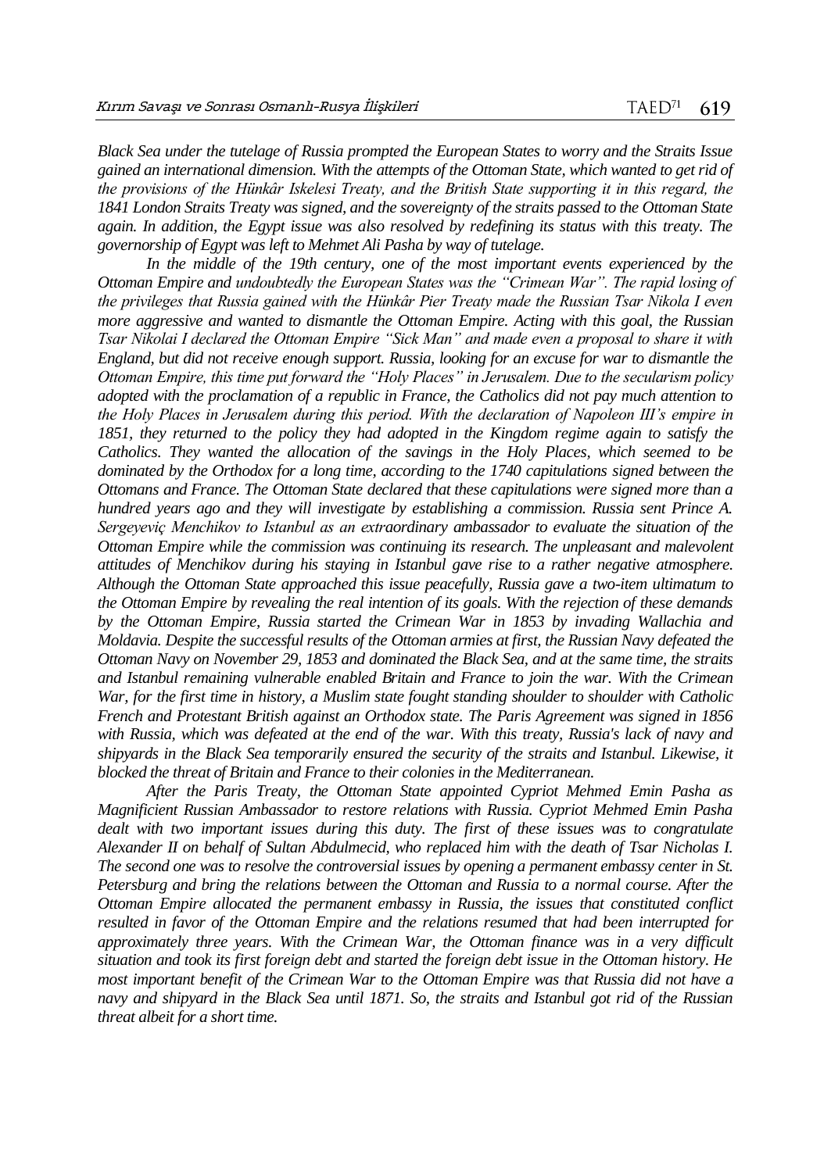*Black Sea under the tutelage of Russia prompted the European States to worry and the Straits Issue gained an international dimension. With the attempts of the Ottoman State, which wanted to get rid of the provisions of the Hünkâr Iskelesi Treaty, and the British State supporting it in this regard, the 1841 London Straits Treaty was signed, and the sovereignty of the straits passed to the Ottoman State again. In addition, the Egypt issue was also resolved by redefining its status with this treaty. The governorship of Egypt was left to Mehmet Ali Pasha by way of tutelage.*

*In the middle of the 19th century, one of the most important events experienced by the Ottoman Empire and undoubtedly the European States was the "Crimean War". The rapid losing of the privileges that Russia gained with the Hünkâr Pier Treaty made the Russian Tsar Nikola I even more aggressive and wanted to dismantle the Ottoman Empire. Acting with this goal, the Russian Tsar Nikolai I declared the Ottoman Empire "Sick Man" and made even a proposal to share it with England, but did not receive enough support. Russia, looking for an excuse for war to dismantle the Ottoman Empire, this time put forward the "Holy Places" in Jerusalem. Due to the secularism policy adopted with the proclamation of a republic in France, the Catholics did not pay much attention to the Holy Places in Jerusalem during this period. With the declaration of Napoleon III's empire in 1851, they returned to the policy they had adopted in the Kingdom regime again to satisfy the Catholics. They wanted the allocation of the savings in the Holy Places, which seemed to be dominated by the Orthodox for a long time, according to the 1740 capitulations signed between the Ottomans and France. The Ottoman State declared that these capitulations were signed more than a hundred years ago and they will investigate by establishing a commission. Russia sent Prince A. Sergeyeviç Menchikov to Istanbul as an extraordinary ambassador to evaluate the situation of the Ottoman Empire while the commission was continuing its research. The unpleasant and malevolent attitudes of Menchikov during his staying in Istanbul gave rise to a rather negative atmosphere. Although the Ottoman State approached this issue peacefully, Russia gave a two-item ultimatum to the Ottoman Empire by revealing the real intention of its goals. With the rejection of these demands by the Ottoman Empire, Russia started the Crimean War in 1853 by invading Wallachia and Moldavia. Despite the successful results of the Ottoman armies at first, the Russian Navy defeated the Ottoman Navy on November 29, 1853 and dominated the Black Sea, and at the same time, the straits and Istanbul remaining vulnerable enabled Britain and France to join the war. With the Crimean War, for the first time in history, a Muslim state fought standing shoulder to shoulder with Catholic French and Protestant British against an Orthodox state. The Paris Agreement was signed in 1856 with Russia, which was defeated at the end of the war. With this treaty, Russia's lack of navy and shipyards in the Black Sea temporarily ensured the security of the straits and Istanbul. Likewise, it blocked the threat of Britain and France to their colonies in the Mediterranean.*

*After the Paris Treaty, the Ottoman State appointed Cypriot Mehmed Emin Pasha as Magnificient Russian Ambassador to restore relations with Russia. Cypriot Mehmed Emin Pasha dealt with two important issues during this duty. The first of these issues was to congratulate Alexander II on behalf of Sultan Abdulmecid, who replaced him with the death of Tsar Nicholas I. The second one was to resolve the controversial issues by opening a permanent embassy center in St. Petersburg and bring the relations between the Ottoman and Russia to a normal course. After the Ottoman Empire allocated the permanent embassy in Russia, the issues that constituted conflict resulted in favor of the Ottoman Empire and the relations resumed that had been interrupted for approximately three years. With the Crimean War, the Ottoman finance was in a very difficult situation and took its first foreign debt and started the foreign debt issue in the Ottoman history. He most important benefit of the Crimean War to the Ottoman Empire was that Russia did not have a navy and shipyard in the Black Sea until 1871. So, the straits and Istanbul got rid of the Russian threat albeit for a short time.*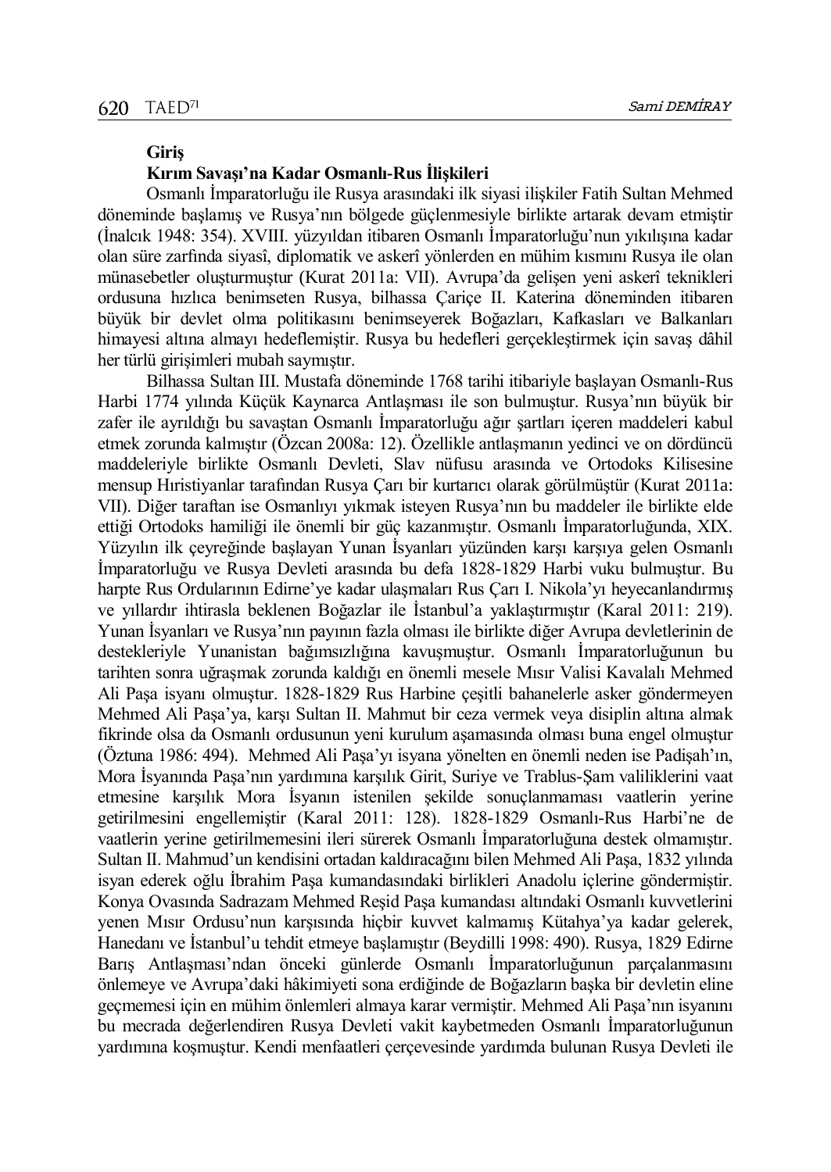#### **Giriş**

## **Kırım Savaşı'na Kadar Osmanlı-Rus İlişkileri**

Osmanlı İmparatorluğu ile Rusya arasındaki ilk siyasi ilişkiler Fatih Sultan Mehmed döneminde başlamış ve Rusya'nın bölgede güçlenmesiyle birlikte artarak devam etmiştir (İnalcık 1948: 354). XVIII. yüzyıldan itibaren Osmanlı İmparatorluğu'nun yıkılışına kadar olan süre zarfında siyasî, diplomatik ve askerî yönlerden en mühim kısmını Rusya ile olan münasebetler oluşturmuştur (Kurat 2011a: VII). Avrupa'da gelişen yeni askerî teknikleri ordusuna hızlıca benimseten Rusya, bilhassa Çariçe II. Katerina döneminden itibaren büyük bir devlet olma politikasını benimseyerek Boğazları, Kafkasları ve Balkanları himayesi altına almayı hedeflemiştir. Rusya bu hedefleri gerçekleştirmek için savaş dâhil her türlü girişimleri mubah saymıştır.

Bilhassa Sultan III. Mustafa döneminde 1768 tarihi itibariyle başlayan Osmanlı-Rus Harbi 1774 yılında Küçük Kaynarca Antlaşması ile son bulmuştur. Rusya'nın büyük bir zafer ile ayrıldığı bu savaştan Osmanlı İmparatorluğu ağır şartları içeren maddeleri kabul etmek zorunda kalmıştır (Özcan 2008a: 12). Özellikle antlaşmanın yedinci ve on dördüncü maddeleriyle birlikte Osmanlı Devleti, Slav nüfusu arasında ve Ortodoks Kilisesine mensup Hıristiyanlar tarafından Rusya Çarı bir kurtarıcı olarak görülmüştür (Kurat 2011a: VII). Diğer taraftan ise Osmanlıyı yıkmak isteyen Rusya'nın bu maddeler ile birlikte elde ettiği Ortodoks hamiliği ile önemli bir güç kazanmıştır. Osmanlı İmparatorluğunda, XIX. Yüzyılın ilk çeyreğinde başlayan Yunan İsyanları yüzünden karşı karşıya gelen Osmanlı İmparatorluğu ve Rusya Devleti arasında bu defa 1828-1829 Harbi vuku bulmuştur. Bu harpte Rus Ordularının Edirne'ye kadar ulaşmaları Rus Çarı I. Nikola'yı heyecanlandırmış ve yıllardır ihtirasla beklenen Boğazlar ile İstanbul'a yaklaştırmıştır (Karal 2011: 219). Yunan İsyanları ve Rusya'nın payının fazla olması ile birlikte diğer Avrupa devletlerinin de destekleriyle Yunanistan bağımsızlığına kavuşmuştur. Osmanlı İmparatorluğunun bu tarihten sonra uğraşmak zorunda kaldığı en önemli mesele Mısır Valisi Kavalalı Mehmed Ali Paşa isyanı olmuştur. 1828-1829 Rus Harbine çeşitli bahanelerle asker göndermeyen Mehmed Ali Paşa'ya, karşı Sultan II. Mahmut bir ceza vermek veya disiplin altına almak fikrinde olsa da Osmanlı ordusunun yeni kurulum aşamasında olması buna engel olmuştur (Öztuna 1986: 494). Mehmed Ali Paşa'yı isyana yönelten en önemli neden ise Padişah'ın, Mora İsyanında Paşa'nın yardımına karşılık Girit, Suriye ve Trablus-Şam valiliklerini vaat etmesine karşılık Mora İsyanın istenilen şekilde sonuçlanmaması vaatlerin yerine getirilmesini engellemiştir (Karal 2011: 128). 1828-1829 Osmanlı-Rus Harbi'ne de vaatlerin yerine getirilmemesini ileri sürerek Osmanlı İmparatorluğuna destek olmamıştır. Sultan II. Mahmud'un kendisini ortadan kaldıracağını bilen Mehmed Ali Paşa, 1832 yılında isyan ederek oğlu İbrahim Paşa kumandasındaki birlikleri Anadolu içlerine göndermiştir. Konya Ovasında Sadrazam Mehmed Reşid Paşa kumandası altındaki Osmanlı kuvvetlerini yenen Mısır Ordusu'nun karşısında hiçbir kuvvet kalmamış Kütahya'ya kadar gelerek, Hanedanı ve İstanbul'u tehdit etmeye başlamıştır (Beydilli 1998: 490). Rusya, 1829 Edirne Barış Antlaşması'ndan önceki günlerde Osmanlı İmparatorluğunun parçalanmasını önlemeye ve Avrupa'daki hâkimiyeti sona erdiğinde de Boğazların başka bir devletin eline geçmemesi için en mühim önlemleri almaya karar vermiştir. Mehmed Ali Paşa'nın isyanını bu mecrada değerlendiren Rusya Devleti vakit kaybetmeden Osmanlı İmparatorluğunun yardımına koşmuştur. Kendi menfaatleri çerçevesinde yardımda bulunan Rusya Devleti ile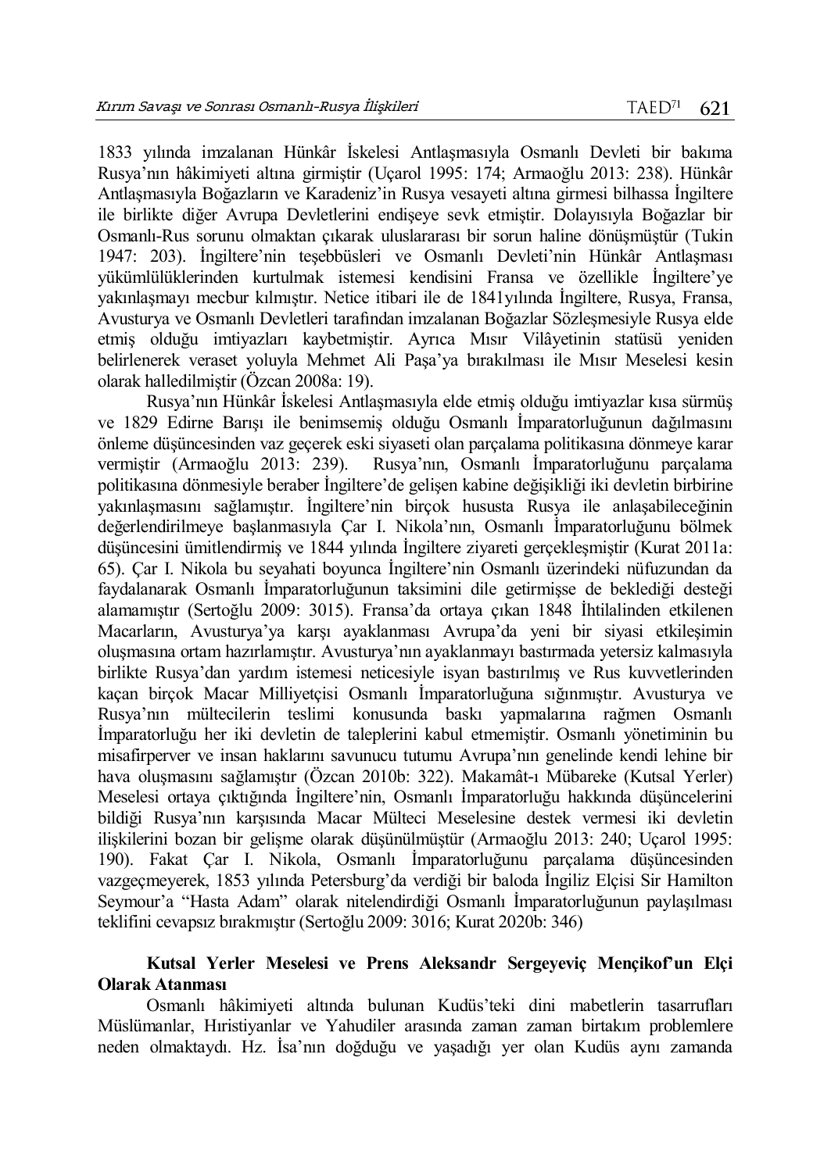1833 yılında imzalanan Hünkâr İskelesi Antlaşmasıyla Osmanlı Devleti bir bakıma Rusya'nın hâkimiyeti altına girmiştir (Uçarol 1995: 174; Armaoğlu 2013: 238). Hünkâr Antlaşmasıyla Boğazların ve Karadeniz'in Rusya vesayeti altına girmesi bilhassa İngiltere ile birlikte diğer Avrupa Devletlerini endişeye sevk etmiştir. Dolayısıyla Boğazlar bir Osmanlı-Rus sorunu olmaktan çıkarak uluslararası bir sorun haline dönüşmüştür (Tukin 1947: 203). İngiltere'nin teşebbüsleri ve Osmanlı Devleti'nin Hünkâr Antlaşması yükümlülüklerinden kurtulmak istemesi kendisini Fransa ve özellikle İngiltere'ye yakınlaşmayı mecbur kılmıştır. Netice itibari ile de 1841yılında İngiltere, Rusya, Fransa, Avusturya ve Osmanlı Devletleri tarafından imzalanan Boğazlar Sözleşmesiyle Rusya elde etmiş olduğu imtiyazları kaybetmiştir. Ayrıca Mısır Vilâyetinin statüsü yeniden belirlenerek veraset yoluyla Mehmet Ali Paşa'ya bırakılması ile Mısır Meselesi kesin olarak halledilmiştir (Özcan 2008a: 19).

Rusya'nın Hünkâr İskelesi Antlaşmasıyla elde etmiş olduğu imtiyazlar kısa sürmüş ve 1829 Edirne Barışı ile benimsemiş olduğu Osmanlı İmparatorluğunun dağılmasını önleme düşüncesinden vaz geçerek eski siyaseti olan parçalama politikasına dönmeye karar vermiştir (Armaoğlu 2013: 239). Rusya'nın, Osmanlı İmparatorluğunu parçalama politikasına dönmesiyle beraber İngiltere'de gelişen kabine değişikliği iki devletin birbirine yakınlaşmasını sağlamıştır. İngiltere'nin birçok hususta Rusya ile anlaşabileceğinin değerlendirilmeye başlanmasıyla Çar I. Nikola'nın, Osmanlı İmparatorluğunu bölmek düşüncesini ümitlendirmiş ve 1844 yılında İngiltere ziyareti gerçekleşmiştir (Kurat 2011a: 65). Çar I. Nikola bu seyahati boyunca İngiltere'nin Osmanlı üzerindeki nüfuzundan da faydalanarak Osmanlı İmparatorluğunun taksimini dile getirmişse de beklediği desteği alamamıştır (Sertoğlu 2009: 3015). Fransa'da ortaya çıkan 1848 İhtilalinden etkilenen Macarların, Avusturya'ya karşı ayaklanması Avrupa'da yeni bir siyasi etkileşimin oluşmasına ortam hazırlamıştır. Avusturya'nın ayaklanmayı bastırmada yetersiz kalmasıyla birlikte Rusya'dan yardım istemesi neticesiyle isyan bastırılmış ve Rus kuvvetlerinden kaçan birçok Macar Milliyetçisi Osmanlı İmparatorluğuna sığınmıştır. Avusturya ve Rusya'nın mültecilerin teslimi konusunda baskı yapmalarına rağmen Osmanlı İmparatorluğu her iki devletin de taleplerini kabul etmemiştir. Osmanlı yönetiminin bu misafirperver ve insan haklarını savunucu tutumu Avrupa'nın genelinde kendi lehine bir hava oluşmasını sağlamıştır (Özcan 2010b: 322). Makamât-ı Mübareke (Kutsal Yerler) Meselesi ortaya çıktığında İngiltere'nin, Osmanlı İmparatorluğu hakkında düşüncelerini bildiği Rusya'nın karşısında Macar Mülteci Meselesine destek vermesi iki devletin ilişkilerini bozan bir gelişme olarak düşünülmüştür (Armaoğlu 2013: 240; Uçarol 1995: 190). Fakat Çar I. Nikola, Osmanlı İmparatorluğunu parçalama düşüncesinden vazgeçmeyerek, 1853 yılında Petersburg'da verdiği bir baloda İngiliz Elçisi Sir Hamilton Seymour'a "Hasta Adam" olarak nitelendirdiği Osmanlı İmparatorluğunun paylaşılması teklifini cevapsız bırakmıştır (Sertoğlu 2009: 3016; Kurat 2020b: 346)

# **Kutsal Yerler Meselesi ve Prens Aleksandr Sergeyeviç Mençikof'un Elçi Olarak Atanması**

Osmanlı hâkimiyeti altında bulunan Kudüs'teki dini mabetlerin tasarrufları Müslümanlar, Hıristiyanlar ve Yahudiler arasında zaman zaman birtakım problemlere neden olmaktaydı. Hz. İsa'nın doğduğu ve yaşadığı yer olan Kudüs aynı zamanda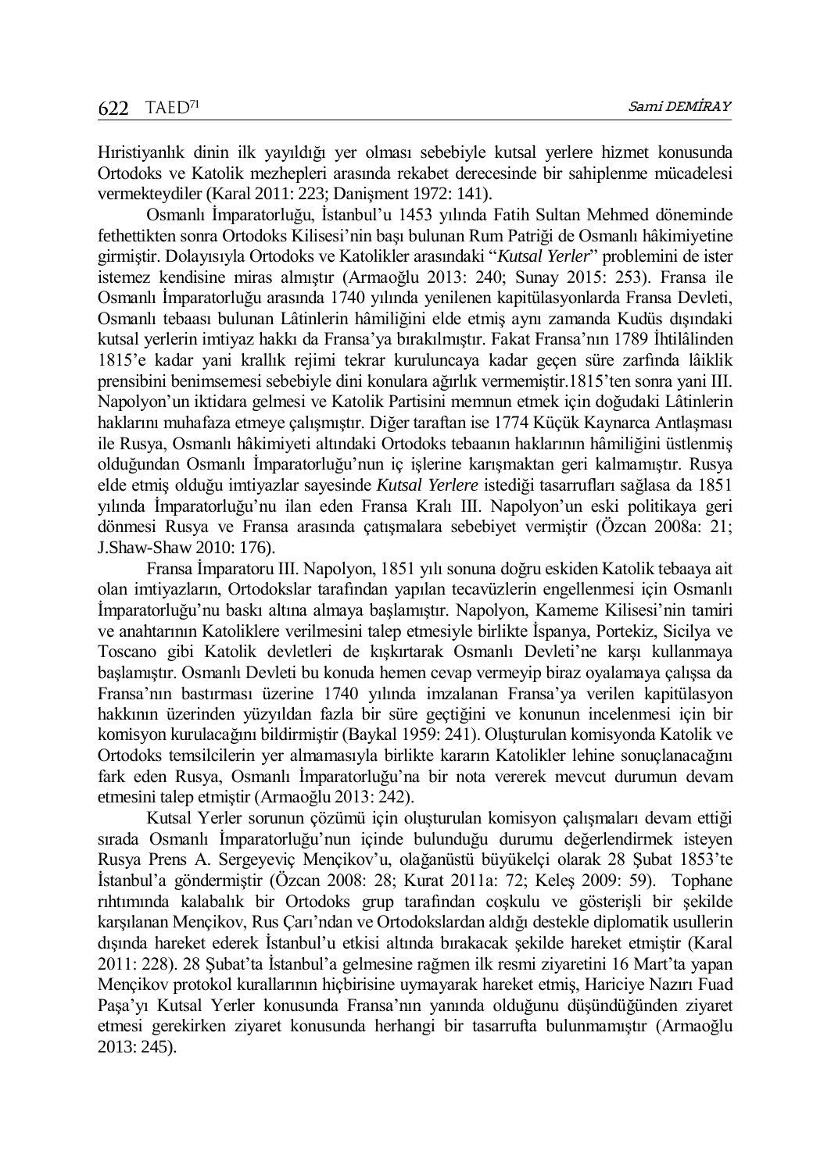Hıristiyanlık dinin ilk yayıldığı yer olması sebebiyle kutsal yerlere hizmet konusunda Ortodoks ve Katolik mezhepleri arasında rekabet derecesinde bir sahiplenme mücadelesi vermekteydiler (Karal 2011: 223; Danişment 1972: 141).

Osmanlı İmparatorluğu, İstanbul'u 1453 yılında Fatih Sultan Mehmed döneminde fethettikten sonra Ortodoks Kilisesi'nin başı bulunan Rum Patriği de Osmanlı hâkimiyetine girmiştir. Dolayısıyla Ortodoks ve Katolikler arasındaki "*Kutsal Yerler*" problemini de ister istemez kendisine miras almıştır (Armaoğlu 2013: 240; Sunay 2015: 253). Fransa ile Osmanlı İmparatorluğu arasında 1740 yılında yenilenen kapitülasyonlarda Fransa Devleti, Osmanlı tebaası bulunan Lâtinlerin hâmiliğini elde etmiş aynı zamanda Kudüs dışındaki kutsal yerlerin imtiyaz hakkı da Fransa'ya bırakılmıştır. Fakat Fransa'nın 1789 İhtilâlinden 1815'e kadar yani krallık rejimi tekrar kuruluncaya kadar geçen süre zarfında lâiklik prensibini benimsemesi sebebiyle dini konulara ağırlık vermemiştir.1815'ten sonra yani III. Napolyon'un iktidara gelmesi ve Katolik Partisini memnun etmek için doğudaki Lâtinlerin haklarını muhafaza etmeye çalışmıştır. Diğer taraftan ise 1774 Küçük Kaynarca Antlaşması ile Rusya, Osmanlı hâkimiyeti altındaki Ortodoks tebaanın haklarının hâmiliğini üstlenmiş olduğundan Osmanlı İmparatorluğu'nun iç işlerine karışmaktan geri kalmamıştır. Rusya elde etmiş olduğu imtiyazlar sayesinde *Kutsal Yerlere* istediği tasarrufları sağlasa da 1851 yılında İmparatorluğu'nu ilan eden Fransa Kralı III. Napolyon'un eski politikaya geri dönmesi Rusya ve Fransa arasında çatışmalara sebebiyet vermiştir (Özcan 2008a: 21; J.Shaw-Shaw 2010: 176).

Fransa İmparatoru III. Napolyon, 1851 yılı sonuna doğru eskiden Katolik tebaaya ait olan imtiyazların, Ortodokslar tarafından yapılan tecavüzlerin engellenmesi için Osmanlı İmparatorluğu'nu baskı altına almaya başlamıştır. Napolyon, Kameme Kilisesi'nin tamiri ve anahtarının Katoliklere verilmesini talep etmesiyle birlikte İspanya, Portekiz, Sicilya ve Toscano gibi Katolik devletleri de kışkırtarak Osmanlı Devleti'ne karşı kullanmaya başlamıştır. Osmanlı Devleti bu konuda hemen cevap vermeyip biraz oyalamaya çalışsa da Fransa'nın bastırması üzerine 1740 yılında imzalanan Fransa'ya verilen kapitülasyon hakkının üzerinden yüzyıldan fazla bir süre geçtiğini ve konunun incelenmesi için bir komisyon kurulacağını bildirmiştir (Baykal 1959: 241). Oluşturulan komisyonda Katolik ve Ortodoks temsilcilerin yer almamasıyla birlikte kararın Katolikler lehine sonuçlanacağını fark eden Rusya, Osmanlı İmparatorluğu'na bir nota vererek mevcut durumun devam etmesini talep etmiştir (Armaoğlu 2013: 242).

Kutsal Yerler sorunun çözümü için oluşturulan komisyon çalışmaları devam ettiği sırada Osmanlı İmparatorluğu'nun içinde bulunduğu durumu değerlendirmek isteyen Rusya Prens A. Sergeyeviç Mençikov'u, olağanüstü büyükelçi olarak 28 Şubat 1853'te İstanbul'a göndermiştir (Özcan 2008: 28; Kurat 2011a: 72; Keleş 2009: 59). Tophane rıhtımında kalabalık bir Ortodoks grup tarafından coşkulu ve gösterişli bir şekilde karşılanan Mençikov, Rus Çarı'ndan ve Ortodokslardan aldığı destekle diplomatik usullerin dışında hareket ederek İstanbul'u etkisi altında bırakacak şekilde hareket etmiştir (Karal 2011: 228). 28 Şubat'ta İstanbul'a gelmesine rağmen ilk resmi ziyaretini 16 Mart'ta yapan Mençikov protokol kurallarının hiçbirisine uymayarak hareket etmiş, Hariciye Nazırı Fuad Paşa'yı Kutsal Yerler konusunda Fransa'nın yanında olduğunu düşündüğünden ziyaret etmesi gerekirken ziyaret konusunda herhangi bir tasarrufta bulunmamıştır (Armaoğlu 2013: 245).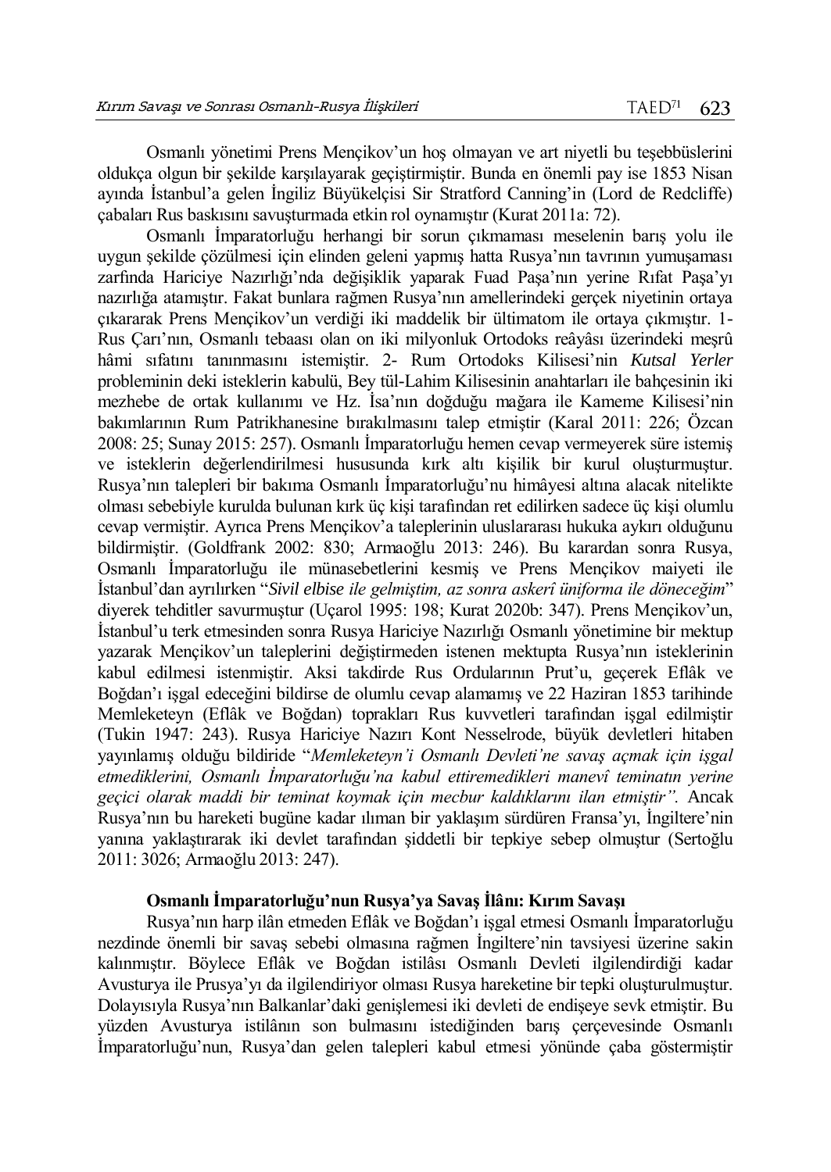Osmanlı yönetimi Prens Mençikov'un hoş olmayan ve art niyetli bu teşebbüslerini oldukça olgun bir şekilde karşılayarak geçiştirmiştir. Bunda en önemli pay ise 1853 Nisan ayında İstanbul'a gelen İngiliz Büyükelçisi Sir Stratford Canning'in (Lord de Redcliffe) çabaları Rus baskısını savuşturmada etkin rol oynamıştır (Kurat 2011a: 72).

Osmanlı İmparatorluğu herhangi bir sorun çıkmaması meselenin barış yolu ile uygun şekilde çözülmesi için elinden geleni yapmış hatta Rusya'nın tavrının yumuşaması zarfında Hariciye Nazırlığı'nda değişiklik yaparak Fuad Paşa'nın yerine Rıfat Paşa'yı nazırlığa atamıştır. Fakat bunlara rağmen Rusya'nın amellerindeki gerçek niyetinin ortaya çıkararak Prens Mençikov'un verdiği iki maddelik bir ültimatom ile ortaya çıkmıştır. 1- Rus Çarı'nın, Osmanlı tebaası olan on iki milyonluk Ortodoks reâyâsı üzerindeki meşrû hâmi sıfatını tanınmasını istemiştir. 2- Rum Ortodoks Kilisesi'nin *Kutsal Yerler*  probleminin deki isteklerin kabulü, Bey tül-Lahim Kilisesinin anahtarları ile bahçesinin iki mezhebe de ortak kullanımı ve Hz. İsa'nın doğduğu mağara ile Kameme Kilisesi'nin bakımlarının Rum Patrikhanesine bırakılmasını talep etmiştir (Karal 2011: 226; Özcan 2008: 25; Sunay 2015: 257). Osmanlı İmparatorluğu hemen cevap vermeyerek süre istemiş ve isteklerin değerlendirilmesi hususunda kırk altı kişilik bir kurul oluşturmuştur. Rusya'nın talepleri bir bakıma Osmanlı İmparatorluğu'nu himâyesi altına alacak nitelikte olması sebebiyle kurulda bulunan kırk üç kişi tarafından ret edilirken sadece üç kişi olumlu cevap vermiştir. Ayrıca Prens Mençikov'a taleplerinin uluslararası hukuka aykırı olduğunu bildirmiştir. (Goldfrank 2002: 830; Armaoğlu 2013: 246). Bu karardan sonra Rusya, Osmanlı İmparatorluğu ile münasebetlerini kesmiş ve Prens Mençikov maiyeti ile İstanbul'dan ayrılırken "*Sivil elbise ile gelmiştim, az sonra askerî üniforma ile döneceğim*" diyerek tehditler savurmuştur (Uçarol 1995: 198; Kurat 2020b: 347). Prens Mençikov'un, İstanbul'u terk etmesinden sonra Rusya Hariciye Nazırlığı Osmanlı yönetimine bir mektup yazarak Mençikov'un taleplerini değiştirmeden istenen mektupta Rusya'nın isteklerinin kabul edilmesi istenmiştir. Aksi takdirde Rus Ordularının Prut'u, geçerek Eflâk ve Boğdan'ı işgal edeceğini bildirse de olumlu cevap alamamış ve 22 Haziran 1853 tarihinde Memleketeyn (Eflâk ve Boğdan) toprakları Rus kuvvetleri tarafından işgal edilmiştir (Tukin 1947: 243). Rusya Hariciye Nazırı Kont Nesselrode, büyük devletleri hitaben yayınlamış olduğu bildiride "*Memleketeyn'i Osmanlı Devleti'ne savaş açmak için işgal etmediklerini, Osmanlı İmparatorluğu'na kabul ettiremedikleri manevî teminatın yerine geçici olarak maddi bir teminat koymak için mecbur kaldıklarını ilan etmiştir".* Ancak Rusya'nın bu hareketi bugüne kadar ılıman bir yaklaşım sürdüren Fransa'yı, İngiltere'nin yanına yaklaştırarak iki devlet tarafından şiddetli bir tepkiye sebep olmuştur (Sertoğlu 2011: 3026; Armaoğlu 2013: 247).

# **Osmanlı İmparatorluğu'nun Rusya'ya Savaş İlânı: Kırım Savaşı**

Rusya'nın harp ilân etmeden Eflâk ve Boğdan'ı işgal etmesi Osmanlı İmparatorluğu nezdinde önemli bir savaş sebebi olmasına rağmen İngiltere'nin tavsiyesi üzerine sakin kalınmıştır. Böylece Eflâk ve Boğdan istilâsı Osmanlı Devleti ilgilendirdiği kadar Avusturya ile Prusya'yı da ilgilendiriyor olması Rusya hareketine bir tepki oluşturulmuştur. Dolayısıyla Rusya'nın Balkanlar'daki genişlemesi iki devleti de endişeye sevk etmiştir. Bu yüzden Avusturya istilânın son bulmasını istediğinden barış çerçevesinde Osmanlı İmparatorluğu'nun, Rusya'dan gelen talepleri kabul etmesi yönünde çaba göstermiştir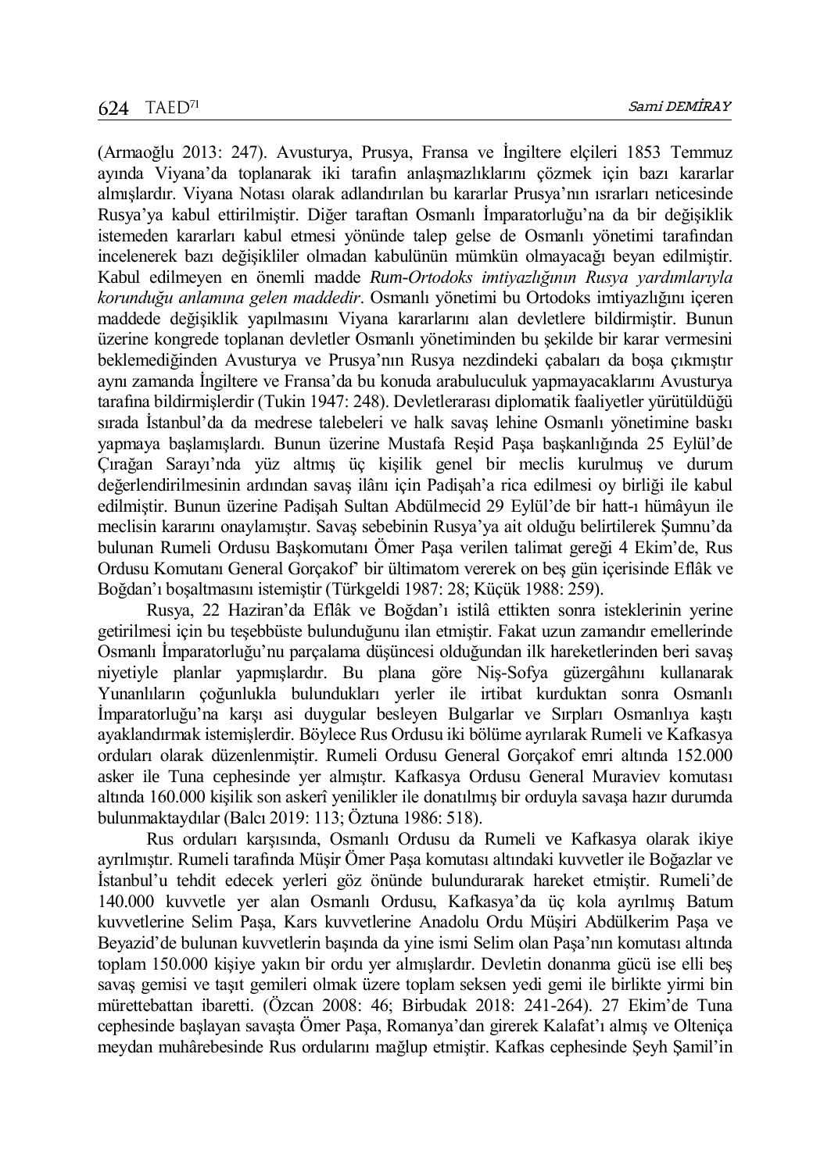(Armaoğlu 2013: 247). Avusturya, Prusya, Fransa ve İngiltere elçileri 1853 Temmuz ayında Viyana'da toplanarak iki tarafın anlaşmazlıklarını çözmek için bazı kararlar almışlardır. Viyana Notası olarak adlandırılan bu kararlar Prusya'nın ısrarları neticesinde Rusya'ya kabul ettirilmiştir. Diğer taraftan Osmanlı İmparatorluğu'na da bir değişiklik istemeden kararları kabul etmesi yönünde talep gelse de Osmanlı yönetimi tarafından incelenerek bazı değişikliler olmadan kabulünün mümkün olmayacağı beyan edilmiştir. Kabul edilmeyen en önemli madde *Rum-Ortodoks imtiyazlığının Rusya yardımlarıyla korunduğu anlamına gelen maddedir*. Osmanlı yönetimi bu Ortodoks imtiyazlığını içeren maddede değişiklik yapılmasını Viyana kararlarını alan devletlere bildirmiştir. Bunun üzerine kongrede toplanan devletler Osmanlı yönetiminden bu şekilde bir karar vermesini beklemediğinden Avusturya ve Prusya'nın Rusya nezdindeki çabaları da boşa çıkmıştır aynı zamanda İngiltere ve Fransa'da bu konuda arabuluculuk yapmayacaklarını Avusturya tarafına bildirmişlerdir (Tukin 1947: 248). Devletlerarası diplomatik faaliyetler yürütüldüğü sırada İstanbul'da da medrese talebeleri ve halk savaş lehine Osmanlı yönetimine baskı yapmaya başlamışlardı. Bunun üzerine Mustafa Reşid Paşa başkanlığında 25 Eylül'de Çırağan Sarayı'nda yüz altmış üç kişilik genel bir meclis kurulmuş ve durum değerlendirilmesinin ardından savaş ilânı için Padişah'a rica edilmesi oy birliği ile kabul edilmiştir. Bunun üzerine Padişah Sultan Abdülmecid 29 Eylül'de bir hatt-ı hümâyun ile meclisin kararını onaylamıştır. Savaş sebebinin Rusya'ya ait olduğu belirtilerek Şumnu'da bulunan Rumeli Ordusu Başkomutanı Ömer Paşa verilen talimat gereği 4 Ekim'de, Rus Ordusu Komutanı General Gorçakof' bir ültimatom vererek on beş gün içerisinde Eflâk ve Boğdan'ı boşaltmasını istemiştir (Türkgeldi 1987: 28; Küçük 1988: 259).

Rusya, 22 Haziran'da Eflâk ve Boğdan'ı istilâ ettikten sonra isteklerinin yerine getirilmesi için bu teşebbüste bulunduğunu ilan etmiştir. Fakat uzun zamandır emellerinde Osmanlı İmparatorluğu'nu parçalama düşüncesi olduğundan ilk hareketlerinden beri savaş niyetiyle planlar yapmışlardır. Bu plana göre Niş-Sofya güzergâhını kullanarak Yunanlıların çoğunlukla bulundukları yerler ile irtibat kurduktan sonra Osmanlı İmparatorluğu'na karşı asi duygular besleyen Bulgarlar ve Sırpları Osmanlıya kaştı ayaklandırmak istemişlerdir. Böylece Rus Ordusu iki bölüme ayrılarak Rumeli ve Kafkasya orduları olarak düzenlenmiştir. Rumeli Ordusu General Gorçakof emri altında 152.000 asker ile Tuna cephesinde yer almıştır. Kafkasya Ordusu General Muraviev komutası altında 160.000 kişilik son askerî yenilikler ile donatılmış bir orduyla savaşa hazır durumda bulunmaktaydılar (Balcı 2019: 113; Öztuna 1986: 518).

Rus orduları karşısında, Osmanlı Ordusu da Rumeli ve Kafkasya olarak ikiye ayrılmıştır. Rumeli tarafında Müşir Ömer Paşa komutası altındaki kuvvetler ile Boğazlar ve İstanbul'u tehdit edecek yerleri göz önünde bulundurarak hareket etmiştir. Rumeli'de 140.000 kuvvetle yer alan Osmanlı Ordusu, Kafkasya'da üç kola ayrılmış Batum kuvvetlerine Selim Paşa, Kars kuvvetlerine Anadolu Ordu Müşiri Abdülkerim Paşa ve Beyazid'de bulunan kuvvetlerin başında da yine ismi Selim olan Paşa'nın komutası altında toplam 150.000 kişiye yakın bir ordu yer almışlardır. Devletin donanma gücü ise elli beş savaş gemisi ve taşıt gemileri olmak üzere toplam seksen yedi gemi ile birlikte yirmi bin mürettebattan ibaretti. (Özcan 2008: 46; Birbudak 2018: 241-264). 27 Ekim'de Tuna cephesinde başlayan savaşta Ömer Paşa, Romanya'dan girerek Kalafat'ı almış ve Olteniça meydan muhârebesinde Rus ordularını mağlup etmiştir. Kafkas cephesinde Şeyh Şamil'in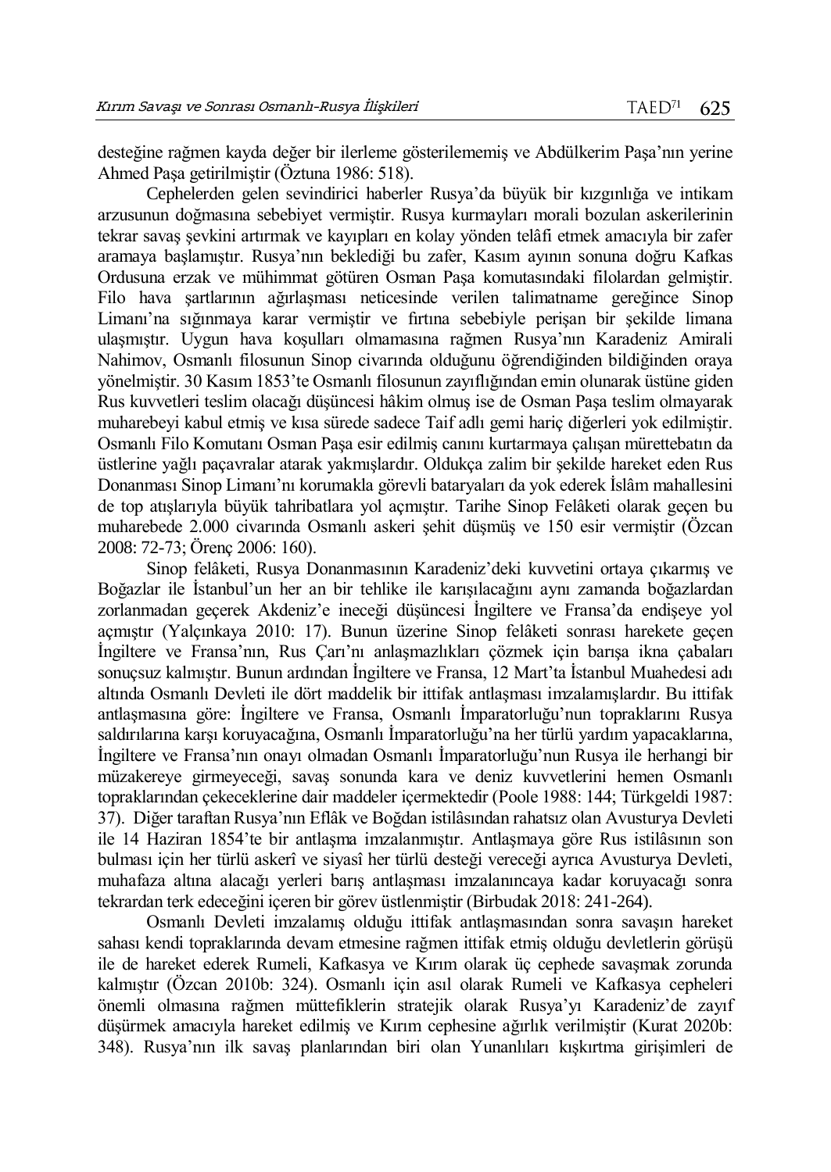desteğine rağmen kayda değer bir ilerleme gösterilememiş ve Abdülkerim Paşa'nın yerine Ahmed Paşa getirilmiştir (Öztuna 1986: 518).

Cephelerden gelen sevindirici haberler Rusya'da büyük bir kızgınlığa ve intikam arzusunun doğmasına sebebiyet vermiştir. Rusya kurmayları morali bozulan askerilerinin tekrar savaş şevkini artırmak ve kayıpları en kolay yönden telâfi etmek amacıyla bir zafer aramaya başlamıştır. Rusya'nın beklediği bu zafer, Kasım ayının sonuna doğru Kafkas Ordusuna erzak ve mühimmat götüren Osman Paşa komutasındaki filolardan gelmiştir. Filo hava şartlarının ağırlaşması neticesinde verilen talimatname gereğince Sinop Limanı'na sığınmaya karar vermiştir ve fırtına sebebiyle perişan bir şekilde limana ulaşmıştır. Uygun hava koşulları olmamasına rağmen Rusya'nın Karadeniz Amirali Nahimov, Osmanlı filosunun Sinop civarında olduğunu öğrendiğinden bildiğinden oraya yönelmiştir. 30 Kasım 1853'te Osmanlı filosunun zayıflığından emin olunarak üstüne giden Rus kuvvetleri teslim olacağı düşüncesi hâkim olmuş ise de Osman Paşa teslim olmayarak muharebeyi kabul etmiş ve kısa sürede sadece Taif adlı gemi hariç diğerleri yok edilmiştir. Osmanlı Filo Komutanı Osman Paşa esir edilmiş canını kurtarmaya çalışan mürettebatın da üstlerine yağlı paçavralar atarak yakmışlardır. Oldukça zalim bir şekilde hareket eden Rus Donanması Sinop Limanı'nı korumakla görevli bataryaları da yok ederek İslâm mahallesini de top atışlarıyla büyük tahribatlara yol açmıştır. Tarihe Sinop Felâketi olarak geçen bu muharebede 2.000 civarında Osmanlı askeri şehit düşmüş ve 150 esir vermiştir (Özcan 2008: 72-73; Örenç 2006: 160).

Sinop felâketi, Rusya Donanmasının Karadeniz'deki kuvvetini ortaya çıkarmış ve Boğazlar ile İstanbul'un her an bir tehlike ile karışılacağını aynı zamanda boğazlardan zorlanmadan geçerek Akdeniz'e ineceği düşüncesi İngiltere ve Fransa'da endişeye yol açmıştır (Yalçınkaya 2010: 17). Bunun üzerine Sinop felâketi sonrası harekete geçen İngiltere ve Fransa'nın, Rus Çarı'nı anlaşmazlıkları çözmek için barışa ikna çabaları sonuçsuz kalmıştır. Bunun ardından İngiltere ve Fransa, 12 Mart'ta İstanbul Muahedesi adı altında Osmanlı Devleti ile dört maddelik bir ittifak antlaşması imzalamışlardır. Bu ittifak antlaşmasına göre: İngiltere ve Fransa, Osmanlı İmparatorluğu'nun topraklarını Rusya saldırılarına karşı koruyacağına, Osmanlı İmparatorluğu'na her türlü yardım yapacaklarına, İngiltere ve Fransa'nın onayı olmadan Osmanlı İmparatorluğu'nun Rusya ile herhangi bir müzakereye girmeyeceği, savaş sonunda kara ve deniz kuvvetlerini hemen Osmanlı topraklarından çekeceklerine dair maddeler içermektedir (Poole 1988: 144; Türkgeldi 1987: 37). Diğer taraftan Rusya'nın Eflâk ve Boğdan istilâsından rahatsız olan Avusturya Devleti ile 14 Haziran 1854'te bir antlaşma imzalanmıştır. Antlaşmaya göre Rus istilâsının son bulması için her türlü askerî ve siyasî her türlü desteği vereceği ayrıca Avusturya Devleti, muhafaza altına alacağı yerleri barış antlaşması imzalanıncaya kadar koruyacağı sonra tekrardan terk edeceğini içeren bir görev üstlenmiştir (Birbudak 2018: 241-264).

Osmanlı Devleti imzalamış olduğu ittifak antlaşmasından sonra savaşın hareket sahası kendi topraklarında devam etmesine rağmen ittifak etmiş olduğu devletlerin görüşü ile de hareket ederek Rumeli, Kafkasya ve Kırım olarak üç cephede savaşmak zorunda kalmıştır (Özcan 2010b: 324). Osmanlı için asıl olarak Rumeli ve Kafkasya cepheleri önemli olmasına rağmen müttefiklerin stratejik olarak Rusya'yı Karadeniz'de zayıf düşürmek amacıyla hareket edilmiş ve Kırım cephesine ağırlık verilmiştir (Kurat 2020b: 348). Rusya'nın ilk savaş planlarından biri olan Yunanlıları kışkırtma girişimleri de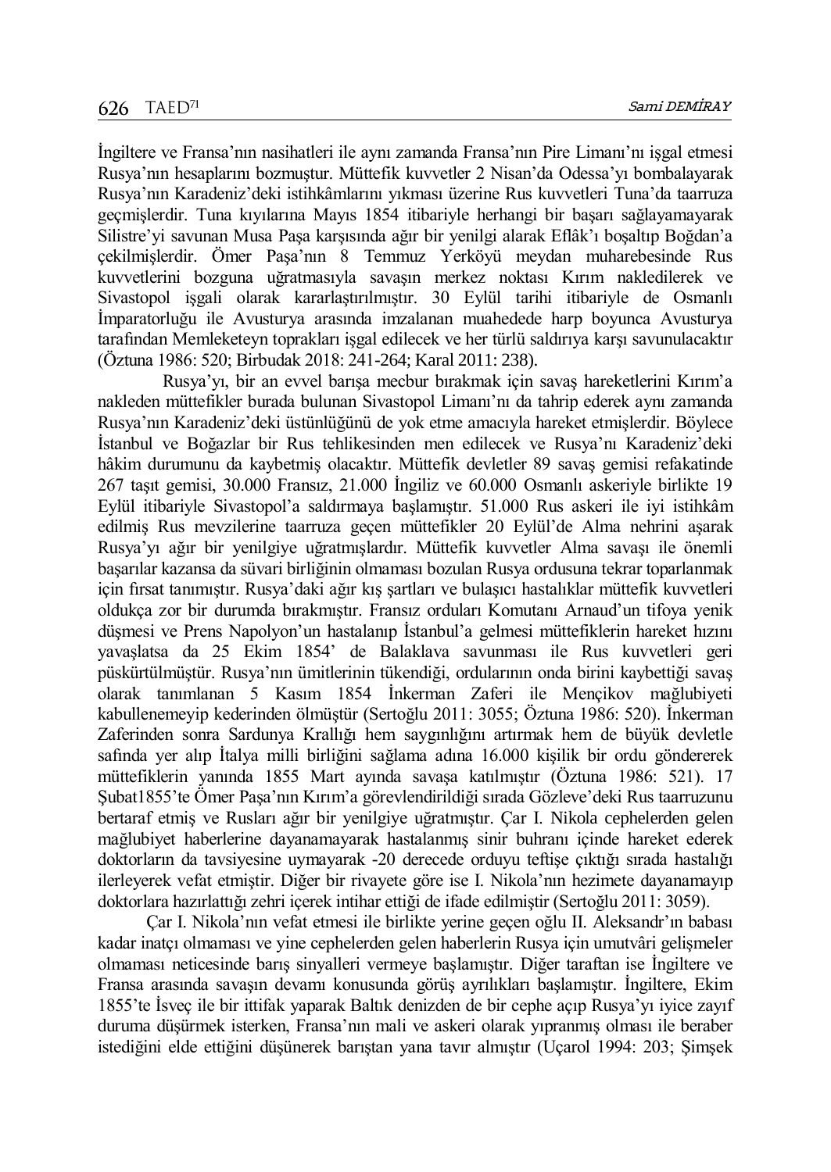İngiltere ve Fransa'nın nasihatleri ile aynı zamanda Fransa'nın Pire Limanı'nı işgal etmesi Rusya'nın hesaplarını bozmuştur. Müttefik kuvvetler 2 Nisan'da Odessa'yı bombalayarak Rusya'nın Karadeniz'deki istihkâmlarını yıkması üzerine Rus kuvvetleri Tuna'da taarruza geçmişlerdir. Tuna kıyılarına Mayıs 1854 itibariyle herhangi bir başarı sağlayamayarak Silistre'yi savunan Musa Paşa karşısında ağır bir yenilgi alarak Eflâk'ı boşaltıp Boğdan'a çekilmişlerdir. Ömer Paşa'nın 8 Temmuz Yerköyü meydan muharebesinde Rus kuvvetlerini bozguna uğratmasıyla savaşın merkez noktası Kırım nakledilerek ve Sivastopol işgali olarak kararlaştırılmıştır. 30 Eylül tarihi itibariyle de Osmanlı İmparatorluğu ile Avusturya arasında imzalanan muahedede harp boyunca Avusturya tarafından Memleketeyn toprakları işgal edilecek ve her türlü saldırıya karşı savunulacaktır (Öztuna 1986: 520; Birbudak 2018: 241-264; Karal 2011: 238).

Rusya'yı, bir an evvel barışa mecbur bırakmak için savaş hareketlerini Kırım'a nakleden müttefikler burada bulunan Sivastopol Limanı'nı da tahrip ederek aynı zamanda Rusya'nın Karadeniz'deki üstünlüğünü de yok etme amacıyla hareket etmişlerdir. Böylece İstanbul ve Boğazlar bir Rus tehlikesinden men edilecek ve Rusya'nı Karadeniz'deki hâkim durumunu da kaybetmiş olacaktır. Müttefik devletler 89 savaş gemisi refakatinde 267 taşıt gemisi, 30.000 Fransız, 21.000 İngiliz ve 60.000 Osmanlı askeriyle birlikte 19 Eylül itibariyle Sivastopol'a saldırmaya başlamıştır. 51.000 Rus askeri ile iyi istihkâm edilmiş Rus mevzilerine taarruza geçen müttefikler 20 Eylül'de Alma nehrini aşarak Rusya'yı ağır bir yenilgiye uğratmışlardır. Müttefik kuvvetler Alma savaşı ile önemli başarılar kazansa da süvari birliğinin olmaması bozulan Rusya ordusuna tekrar toparlanmak için fırsat tanımıştır. Rusya'daki ağır kış şartları ve bulaşıcı hastalıklar müttefik kuvvetleri oldukça zor bir durumda bırakmıştır. Fransız orduları Komutanı Arnaud'un tifoya yenik düşmesi ve Prens Napolyon'un hastalanıp İstanbul'a gelmesi müttefiklerin hareket hızını yavaşlatsa da 25 Ekim 1854' de Balaklava savunması ile Rus kuvvetleri geri püskürtülmüştür. Rusya'nın ümitlerinin tükendiği, ordularının onda birini kaybettiği savaş olarak tanımlanan 5 Kasım 1854 İnkerman Zaferi ile Mençikov mağlubiyeti kabullenemeyip kederinden ölmüştür (Sertoğlu 2011: 3055; Öztuna 1986: 520). İnkerman Zaferinden sonra Sardunya Krallığı hem saygınlığını artırmak hem de büyük devletle safında yer alıp İtalya milli birliğini sağlama adına 16.000 kişilik bir ordu göndererek müttefiklerin yanında 1855 Mart ayında savaşa katılmıştır (Öztuna 1986: 521). 17 Şubat1855'te Ömer Paşa'nın Kırım'a görevlendirildiği sırada Gözleve'deki Rus taarruzunu bertaraf etmiş ve Rusları ağır bir yenilgiye uğratmıştır. Çar I. Nikola cephelerden gelen mağlubiyet haberlerine dayanamayarak hastalanmış sinir buhranı içinde hareket ederek doktorların da tavsiyesine uymayarak -20 derecede orduyu teftişe çıktığı sırada hastalığı ilerleyerek vefat etmiştir. Diğer bir rivayete göre ise I. Nikola'nın hezimete dayanamayıp doktorlara hazırlattığı zehri içerek intihar ettiği de ifade edilmiştir (Sertoğlu 2011: 3059).

Çar I. Nikola'nın vefat etmesi ile birlikte yerine geçen oğlu II. Aleksandr'ın babası kadar inatçı olmaması ve yine cephelerden gelen haberlerin Rusya için umutvâri gelişmeler olmaması neticesinde barış sinyalleri vermeye başlamıştır. Diğer taraftan ise İngiltere ve Fransa arasında savaşın devamı konusunda görüş ayrılıkları başlamıştır. İngiltere, Ekim 1855'te İsveç ile bir ittifak yaparak Baltık denizden de bir cephe açıp Rusya'yı iyice zayıf duruma düşürmek isterken, Fransa'nın mali ve askeri olarak yıpranmış olması ile beraber istediğini elde ettiğini düşünerek barıştan yana tavır almıştır (Uçarol 1994: 203; Şimşek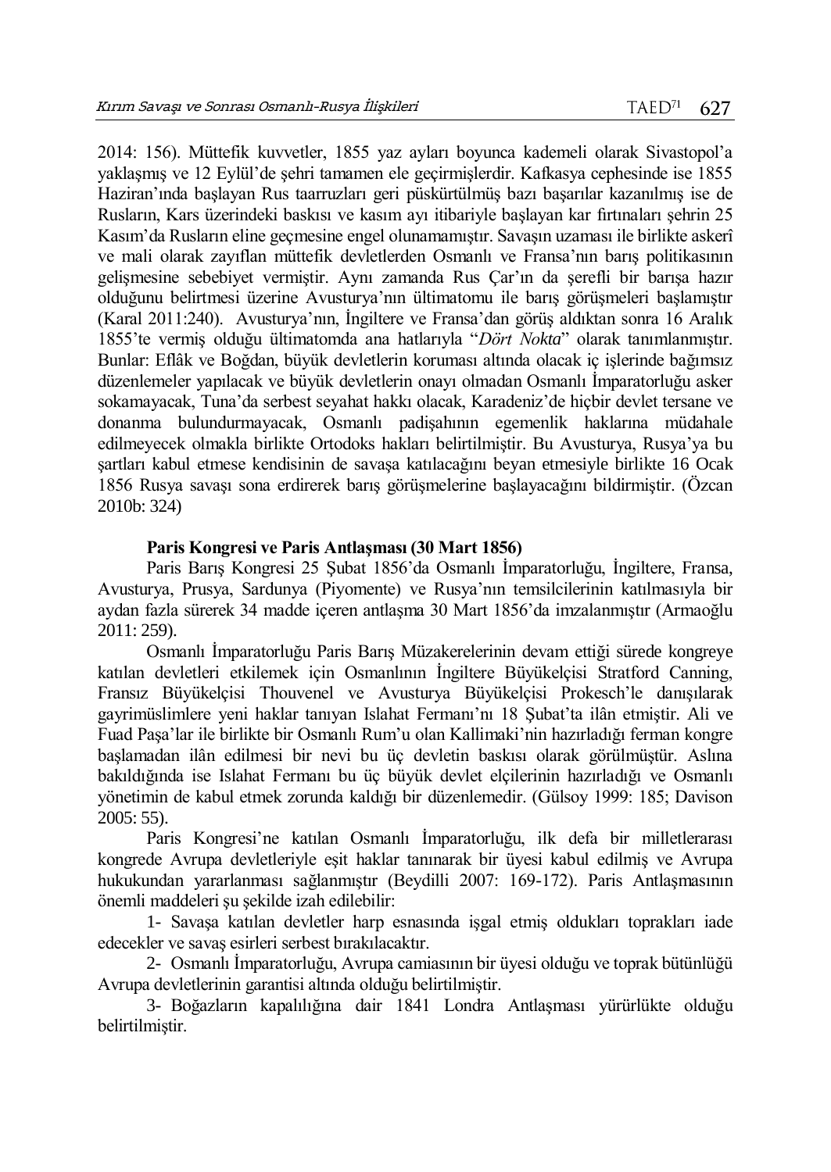2014: 156). Müttefik kuvvetler, 1855 yaz ayları boyunca kademeli olarak Sivastopol'a yaklaşmış ve 12 Eylül'de şehri tamamen ele geçirmişlerdir. Kafkasya cephesinde ise 1855 Haziran'ında başlayan Rus taarruzları geri püskürtülmüş bazı başarılar kazanılmış ise de Rusların, Kars üzerindeki baskısı ve kasım ayı itibariyle başlayan kar fırtınaları şehrin 25 Kasım'da Rusların eline geçmesine engel olunamamıştır. Savaşın uzaması ile birlikte askerî ve mali olarak zayıflan müttefik devletlerden Osmanlı ve Fransa'nın barış politikasının gelişmesine sebebiyet vermiştir. Aynı zamanda Rus Çar'ın da şerefli bir barışa hazır olduğunu belirtmesi üzerine Avusturya'nın ültimatomu ile barış görüşmeleri başlamıştır (Karal 2011:240). Avusturya'nın, İngiltere ve Fransa'dan görüş aldıktan sonra 16 Aralık 1855'te vermiş olduğu ültimatomda ana hatlarıyla "*Dört Nokta*" olarak tanımlanmıştır. Bunlar: Eflâk ve Boğdan, büyük devletlerin koruması altında olacak iç işlerinde bağımsız düzenlemeler yapılacak ve büyük devletlerin onayı olmadan Osmanlı İmparatorluğu asker sokamayacak, Tuna'da serbest seyahat hakkı olacak, Karadeniz'de hiçbir devlet tersane ve donanma bulundurmayacak, Osmanlı padişahının egemenlik haklarına müdahale edilmeyecek olmakla birlikte Ortodoks hakları belirtilmiştir. Bu Avusturya, Rusya'ya bu şartları kabul etmese kendisinin de savaşa katılacağını beyan etmesiyle birlikte 16 Ocak 1856 Rusya savaşı sona erdirerek barış görüşmelerine başlayacağını bildirmiştir. (Özcan 2010b: 324)

# **Paris Kongresi ve Paris Antlaşması (30 Mart 1856)**

Paris Barış Kongresi 25 Şubat 1856'da Osmanlı İmparatorluğu, İngiltere, Fransa, Avusturya, Prusya, Sardunya (Piyomente) ve Rusya'nın temsilcilerinin katılmasıyla bir aydan fazla sürerek 34 madde içeren antlaşma 30 Mart 1856'da imzalanmıştır (Armaoğlu 2011: 259).

Osmanlı İmparatorluğu Paris Barış Müzakerelerinin devam ettiği sürede kongreye katılan devletleri etkilemek için Osmanlının İngiltere Büyükelçisi Stratford Canning, Fransız Büyükelçisi Thouvenel ve Avusturya Büyükelçisi Prokesch'le danışılarak gayrimüslimlere yeni haklar tanıyan Islahat Fermanı'nı 18 Şubat'ta ilân etmiştir. Ali ve Fuad Paşa'lar ile birlikte bir Osmanlı Rum'u olan Kallimaki'nin hazırladığı ferman kongre başlamadan ilân edilmesi bir nevi bu üç devletin baskısı olarak görülmüştür. Aslına bakıldığında ise Islahat Fermanı bu üç büyük devlet elçilerinin hazırladığı ve Osmanlı yönetimin de kabul etmek zorunda kaldığı bir düzenlemedir. (Gülsoy 1999: 185; Davison 2005: 55).

Paris Kongresi'ne katılan Osmanlı İmparatorluğu, ilk defa bir milletlerarası kongrede Avrupa devletleriyle eşit haklar tanınarak bir üyesi kabul edilmiş ve Avrupa hukukundan yararlanması sağlanmıştır (Beydilli 2007: 169-172). Paris Antlaşmasının önemli maddeleri şu şekilde izah edilebilir:

1- Savaşa katılan devletler harp esnasında işgal etmiş oldukları toprakları iade edecekler ve savaş esirleri serbest bırakılacaktır.

2- Osmanlı İmparatorluğu, Avrupa camiasının bir üyesi olduğu ve toprak bütünlüğü Avrupa devletlerinin garantisi altında olduğu belirtilmiştir.

3- Boğazların kapalılığına dair 1841 Londra Antlaşması yürürlükte olduğu belirtilmiştir.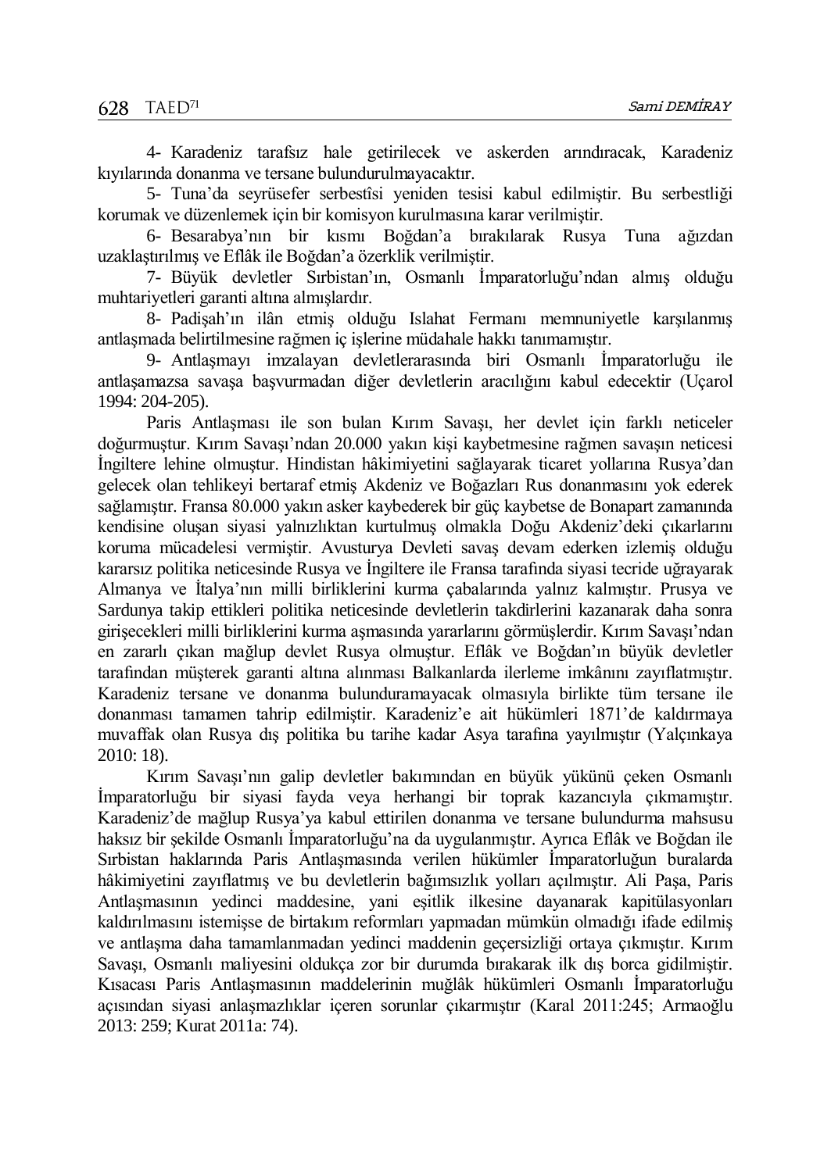4- Karadeniz tarafsız hale getirilecek ve askerden arındıracak, Karadeniz kıyılarında donanma ve tersane bulundurulmayacaktır.

5- Tuna'da seyrüsefer serbestîsi yeniden tesisi kabul edilmiştir. Bu serbestliği korumak ve düzenlemek için bir komisyon kurulmasına karar verilmiştir.

6- Besarabya'nın bir kısmı Boğdan'a bırakılarak Rusya Tuna ağızdan uzaklaştırılmış ve Eflâk ile Boğdan'a özerklik verilmiştir.

7- Büyük devletler Sırbistan'ın, Osmanlı İmparatorluğu'ndan almış olduğu muhtariyetleri garanti altına almışlardır.

8- Padişah'ın ilân etmiş olduğu Islahat Fermanı memnuniyetle karşılanmış antlaşmada belirtilmesine rağmen iç işlerine müdahale hakkı tanımamıştır.

9- Antlaşmayı imzalayan devletlerarasında biri Osmanlı İmparatorluğu ile antlaşamazsa savaşa başvurmadan diğer devletlerin aracılığını kabul edecektir (Uçarol 1994: 204-205).

Paris Antlaşması ile son bulan Kırım Savaşı, her devlet için farklı neticeler doğurmuştur. Kırım Savaşı'ndan 20.000 yakın kişi kaybetmesine rağmen savaşın neticesi İngiltere lehine olmuştur. Hindistan hâkimiyetini sağlayarak ticaret yollarına Rusya'dan gelecek olan tehlikeyi bertaraf etmiş Akdeniz ve Boğazları Rus donanmasını yok ederek sağlamıştır. Fransa 80.000 yakın asker kaybederek bir güç kaybetse de Bonapart zamanında kendisine oluşan siyasi yalnızlıktan kurtulmuş olmakla Doğu Akdeniz'deki çıkarlarını koruma mücadelesi vermiştir. Avusturya Devleti savaş devam ederken izlemiş olduğu kararsız politika neticesinde Rusya ve İngiltere ile Fransa tarafında siyasi tecride uğrayarak Almanya ve İtalya'nın milli birliklerini kurma çabalarında yalnız kalmıştır. Prusya ve Sardunya takip ettikleri politika neticesinde devletlerin takdirlerini kazanarak daha sonra girişecekleri milli birliklerini kurma aşmasında yararlarını görmüşlerdir. Kırım Savaşı'ndan en zararlı çıkan mağlup devlet Rusya olmuştur. Eflâk ve Boğdan'ın büyük devletler tarafından müşterek garanti altına alınması Balkanlarda ilerleme imkânını zayıflatmıştır. Karadeniz tersane ve donanma bulunduramayacak olmasıyla birlikte tüm tersane ile donanması tamamen tahrip edilmiştir. Karadeniz'e ait hükümleri 1871'de kaldırmaya muvaffak olan Rusya dış politika bu tarihe kadar Asya tarafına yayılmıştır (Yalçınkaya 2010: 18).

Kırım Savaşı'nın galip devletler bakımından en büyük yükünü çeken Osmanlı İmparatorluğu bir siyasi fayda veya herhangi bir toprak kazancıyla çıkmamıştır. Karadeniz'de mağlup Rusya'ya kabul ettirilen donanma ve tersane bulundurma mahsusu haksız bir şekilde Osmanlı İmparatorluğu'na da uygulanmıştır. Ayrıca Eflâk ve Boğdan ile Sırbistan haklarında Paris Antlaşmasında verilen hükümler İmparatorluğun buralarda hâkimiyetini zayıflatmış ve bu devletlerin bağımsızlık yolları açılmıştır. Ali Paşa, Paris Antlaşmasının yedinci maddesine, yani eşitlik ilkesine dayanarak kapitülasyonları kaldırılmasını istemişse de birtakım reformları yapmadan mümkün olmadığı ifade edilmiş ve antlaşma daha tamamlanmadan yedinci maddenin geçersizliği ortaya çıkmıştır. Kırım Savaşı, Osmanlı maliyesini oldukça zor bir durumda bırakarak ilk dış borca gidilmiştir. Kısacası Paris Antlaşmasının maddelerinin muğlâk hükümleri Osmanlı İmparatorluğu açısından siyasi anlaşmazlıklar içeren sorunlar çıkarmıştır (Karal 2011:245; Armaoğlu 2013: 259; Kurat 2011a: 74).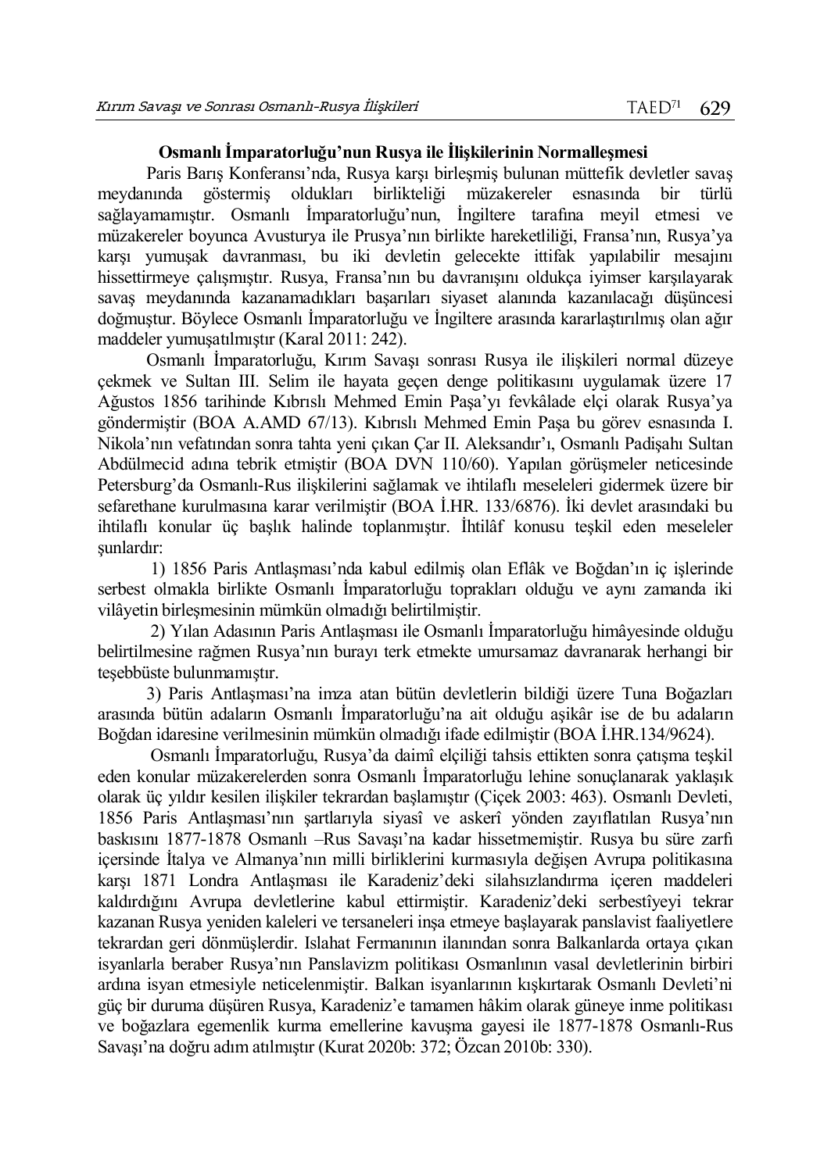# **Osmanlı İmparatorluğu'nun Rusya ile İlişkilerinin Normalleşmesi**

Paris Barış Konferansı'nda, Rusya karşı birleşmiş bulunan müttefik devletler savaş meydanında göstermiş oldukları birlikteliği müzakereler esnasında bir türlü sağlayamamıştır. Osmanlı İmparatorluğu'nun, İngiltere tarafına meyil etmesi ve müzakereler boyunca Avusturya ile Prusya'nın birlikte hareketliliği, Fransa'nın, Rusya'ya karşı yumuşak davranması, bu iki devletin gelecekte ittifak yapılabilir mesajını hissettirmeye çalışmıştır. Rusya, Fransa'nın bu davranışını oldukça iyimser karşılayarak savaş meydanında kazanamadıkları başarıları siyaset alanında kazanılacağı düşüncesi doğmuştur. Böylece Osmanlı İmparatorluğu ve İngiltere arasında kararlaştırılmış olan ağır maddeler yumuşatılmıştır (Karal 2011: 242).

Osmanlı İmparatorluğu, Kırım Savaşı sonrası Rusya ile ilişkileri normal düzeye çekmek ve Sultan III. Selim ile hayata geçen denge politikasını uygulamak üzere 17 Ağustos 1856 tarihinde Kıbrıslı Mehmed Emin Paşa'yı fevkâlade elçi olarak Rusya'ya göndermiştir (BOA A.AMD 67/13). Kıbrıslı Mehmed Emin Paşa bu görev esnasında I. Nikola'nın vefatından sonra tahta yeni çıkan Çar II. Aleksandır'ı, Osmanlı Padişahı Sultan Abdülmecid adına tebrik etmiştir (BOA DVN 110/60). Yapılan görüşmeler neticesinde Petersburg'da Osmanlı-Rus ilişkilerini sağlamak ve ihtilaflı meseleleri gidermek üzere bir sefarethane kurulmasına karar verilmiştir (BOA İ.HR. 133/6876). İki devlet arasındaki bu ihtilaflı konular üç başlık halinde toplanmıştır. İhtilâf konusu teşkil eden meseleler şunlardır:

1) 1856 Paris Antlaşması'nda kabul edilmiş olan Eflâk ve Boğdan'ın iç işlerinde serbest olmakla birlikte Osmanlı İmparatorluğu toprakları olduğu ve aynı zamanda iki vilâyetin birleşmesinin mümkün olmadığı belirtilmiştir.

2) Yılan Adasının Paris Antlaşması ile Osmanlı İmparatorluğu himâyesinde olduğu belirtilmesine rağmen Rusya'nın burayı terk etmekte umursamaz davranarak herhangi bir teşebbüste bulunmamıştır.

3) Paris Antlaşması'na imza atan bütün devletlerin bildiği üzere Tuna Boğazları arasında bütün adaların Osmanlı İmparatorluğu'na ait olduğu aşikâr ise de bu adaların Boğdan idaresine verilmesinin mümkün olmadığı ifade edilmiştir (BOA İ.HR.134/9624).

Osmanlı İmparatorluğu, Rusya'da daimî elçiliği tahsis ettikten sonra çatışma teşkil eden konular müzakerelerden sonra Osmanlı İmparatorluğu lehine sonuçlanarak yaklaşık olarak üç yıldır kesilen ilişkiler tekrardan başlamıştır (Çiçek 2003: 463). Osmanlı Devleti, 1856 Paris Antlaşması'nın şartlarıyla siyasî ve askerî yönden zayıflatılan Rusya'nın baskısını 1877-1878 Osmanlı –Rus Savaşı'na kadar hissetmemiştir. Rusya bu süre zarfı içersinde İtalya ve Almanya'nın milli birliklerini kurmasıyla değişen Avrupa politikasına karşı 1871 Londra Antlaşması ile Karadeniz'deki silahsızlandırma içeren maddeleri kaldırdığını Avrupa devletlerine kabul ettirmiştir. Karadeniz'deki serbestîyeyi tekrar kazanan Rusya yeniden kaleleri ve tersaneleri inşa etmeye başlayarak panslavist faaliyetlere tekrardan geri dönmüşlerdir. Islahat Fermanının ilanından sonra Balkanlarda ortaya çıkan isyanlarla beraber Rusya'nın Panslavizm politikası Osmanlının vasal devletlerinin birbiri ardına isyan etmesiyle neticelenmiştir. Balkan isyanlarının kışkırtarak Osmanlı Devleti'ni güç bir duruma düşüren Rusya, Karadeniz'e tamamen hâkim olarak güneye inme politikası ve boğazlara egemenlik kurma emellerine kavuşma gayesi ile 1877-1878 Osmanlı-Rus Savaşı'na doğru adım atılmıştır (Kurat 2020b: 372; Özcan 2010b: 330).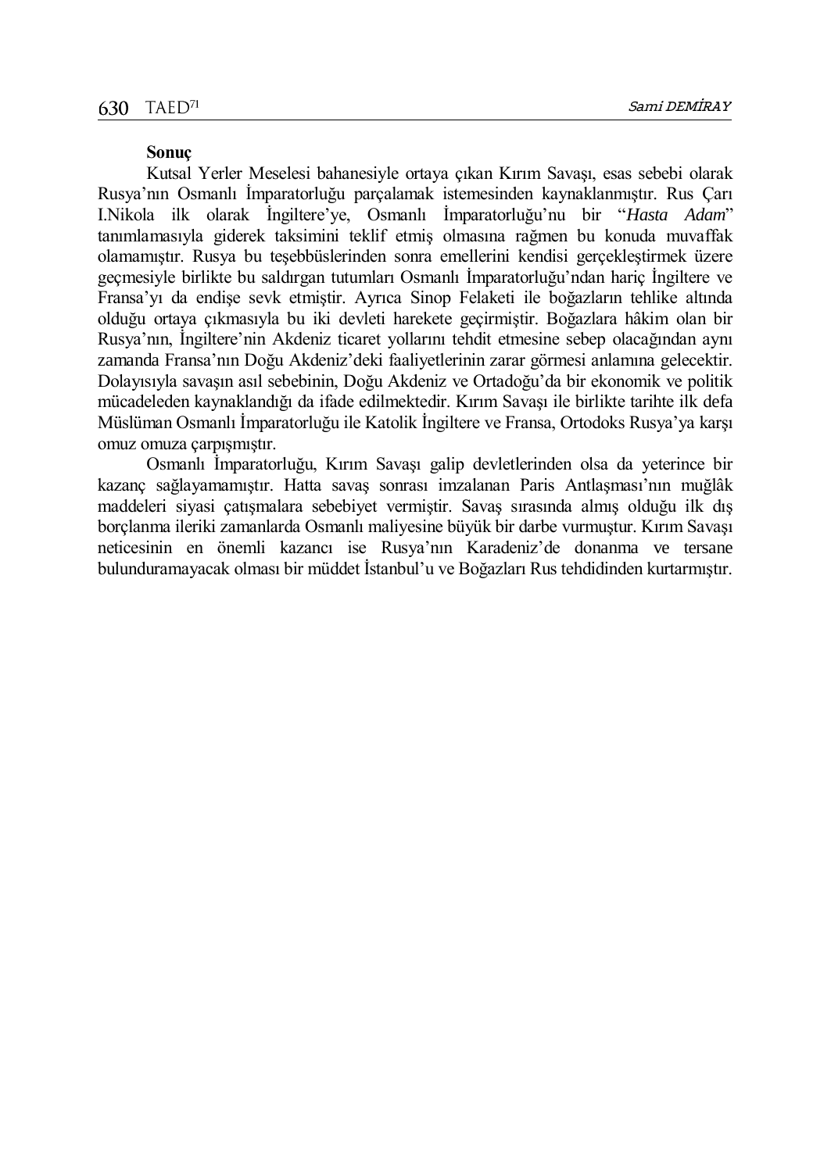#### **Sonuç**

Kutsal Yerler Meselesi bahanesiyle ortaya çıkan Kırım Savaşı, esas sebebi olarak Rusya'nın Osmanlı İmparatorluğu parçalamak istemesinden kaynaklanmıştır. Rus Çarı I.Nikola ilk olarak İngiltere'ye, Osmanlı İmparatorluğu'nu bir "*Hasta Adam*" tanımlamasıyla giderek taksimini teklif etmiş olmasına rağmen bu konuda muvaffak olamamıştır. Rusya bu teşebbüslerinden sonra emellerini kendisi gerçekleştirmek üzere geçmesiyle birlikte bu saldırgan tutumları Osmanlı İmparatorluğu'ndan hariç İngiltere ve Fransa'yı da endişe sevk etmiştir. Ayrıca Sinop Felaketi ile boğazların tehlike altında olduğu ortaya çıkmasıyla bu iki devleti harekete geçirmiştir. Boğazlara hâkim olan bir Rusya'nın, İngiltere'nin Akdeniz ticaret yollarını tehdit etmesine sebep olacağından aynı zamanda Fransa'nın Doğu Akdeniz'deki faaliyetlerinin zarar görmesi anlamına gelecektir. Dolayısıyla savaşın asıl sebebinin, Doğu Akdeniz ve Ortadoğu'da bir ekonomik ve politik mücadeleden kaynaklandığı da ifade edilmektedir. Kırım Savaşı ile birlikte tarihte ilk defa Müslüman Osmanlı İmparatorluğu ile Katolik İngiltere ve Fransa, Ortodoks Rusya'ya karşı omuz omuza çarpışmıştır.

Osmanlı İmparatorluğu, Kırım Savaşı galip devletlerinden olsa da yeterince bir kazanç sağlayamamıştır. Hatta savaş sonrası imzalanan Paris Antlaşması'nın muğlâk maddeleri siyasi çatışmalara sebebiyet vermiştir. Savaş sırasında almış olduğu ilk dış borçlanma ileriki zamanlarda Osmanlı maliyesine büyük bir darbe vurmuştur. Kırım Savaşı neticesinin en önemli kazancı ise Rusya'nın Karadeniz'de donanma ve tersane bulunduramayacak olması bir müddet İstanbul'u ve Boğazları Rus tehdidinden kurtarmıştır.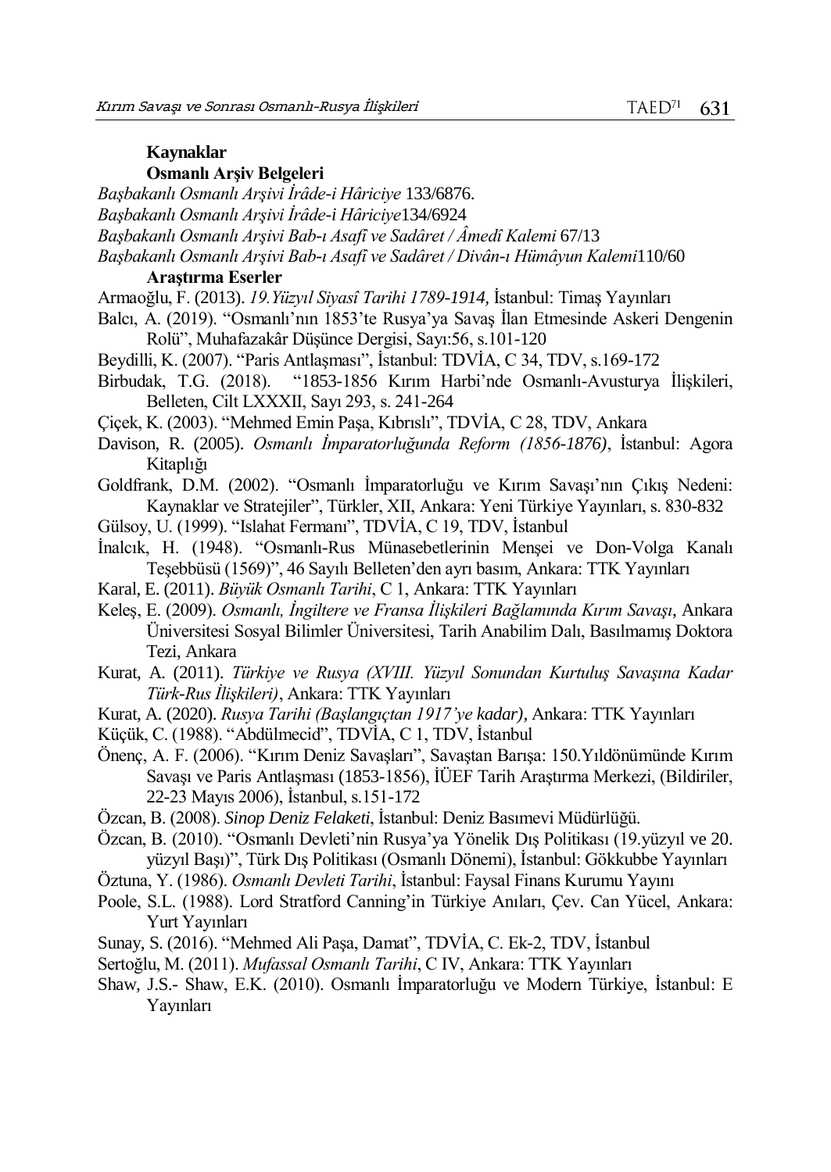## **Kaynaklar**

# **Osmanlı Arşiv Belgeleri**

*Başbakanlı Osmanlı Arşivi İrâde-i Hâriciye* 133/6876.

*Başbakanlı Osmanlı Arşivi İrâde-i Hâriciye*134/6924

- *Başbakanlı Osmanlı Arşivi Bab-ı Asafî ve Sadâret / Âmedî Kalemi* 67/13
- *Başbakanlı Osmanlı Arşivi Bab-ı Asafî ve Sadâret / Divân-ı Hümâyun Kalemi*110/60

# **Araştırma Eserler**

Armaoğlu, F. (2013). *19.Yüzyıl Siyasî Tarihi 1789-1914,* İstanbul: Timaş Yayınları

- Balcı, A. (2019). "Osmanlı'nın 1853'te Rusya'ya Savaş İlan Etmesinde Askeri Dengenin Rolü", Muhafazakâr Düşünce Dergisi, Sayı:56, s.101-120
- Beydilli, K. (2007). "Paris Antlaşması", İstanbul: TDVİA, C 34, TDV, s.169-172
- Birbudak, T.G. (2018). "1853-1856 Kırım Harbi'nde Osmanlı-Avusturya İlişkileri, Belleten, Cilt LXXXII, Sayı 293, s. 241-264
- Çiçek, K. (2003). "Mehmed Emin Paşa, Kıbrıslı", TDVİA, C 28, TDV, Ankara
- Davison, R. (2005). *Osmanlı İmparatorluğunda Reform (1856-1876)*, İstanbul: Agora Kitaplığı
- Goldfrank, D.M. (2002). "Osmanlı İmparatorluğu ve Kırım Savaşı'nın Çıkış Nedeni: Kaynaklar ve Stratejiler", Türkler, XII, Ankara: Yeni Türkiye Yayınları, s. 830-832
- Gülsoy, U. (1999). "Islahat Fermanı", TDVİA, C 19, TDV, İstanbul
- İnalcık, H. (1948). "Osmanlı-Rus Münasebetlerinin Menşei ve Don-Volga Kanalı Teşebbüsü (1569)", 46 Sayılı Belleten'den ayrı basım, Ankara: TTK Yayınları
- Karal, E. (2011). *Büyük Osmanlı Tarihi*, C 1, Ankara: TTK Yayınları
- Keleş, E. (2009). *Osmanlı, İngiltere ve Fransa İlişkileri Bağlamında Kırım Savaşı*, Ankara Üniversitesi Sosyal Bilimler Üniversitesi, Tarih Anabilim Dalı, Basılmamış Doktora Tezi, Ankara
- Kurat, A. (2011). *Türkiye ve Rusya (XVIII. Yüzyıl Sonundan Kurtuluş Savaşına Kadar Türk-Rus İlişkileri)*, Ankara: TTK Yayınları
- Kurat, A. (2020). *Rusya Tarihi (Başlangıçtan 1917'ye kadar),* Ankara: TTK Yayınları
- Küçük, C. (1988). "Abdülmecid", TDVİA, C 1, TDV, İstanbul
- Önenç, A. F. (2006). "Kırım Deniz Savaşları", Savaştan Barışa: 150.Yıldönümünde Kırım Savaşı ve Paris Antlaşması (1853-1856), İÜEF Tarih Araştırma Merkezi, (Bildiriler, 22-23 Mayıs 2006), İstanbul, s.151-172
- Özcan, B. (2008). *Sinop Deniz Felaketi*, İstanbul: Deniz Basımevi Müdürlüğü.
- Özcan, B. (2010). "Osmanlı Devleti'nin Rusya'ya Yönelik Dış Politikası (19.yüzyıl ve 20. yüzyıl Başı)", Türk Dış Politikası (Osmanlı Dönemi), İstanbul: Gökkubbe Yayınları
- Öztuna, Y. (1986). *Osmanlı Devleti Tarihi*, İstanbul: Faysal Finans Kurumu Yayını
- Poole, S.L. (1988). Lord Stratford Canning'in Türkiye Anıları, Çev. Can Yücel, Ankara: Yurt Yayınları
- Sunay, S. (2016). "Mehmed Ali Paşa, Damat", TDVİA, C. Ek-2, TDV, İstanbul
- Sertoğlu, M. (2011). *Mufassal Osmanlı Tarihi*, C IV, Ankara: TTK Yayınları
- Shaw, J.S.- Shaw, E.K. (2010). Osmanlı İmparatorluğu ve Modern Türkiye, İstanbul: E Yayınları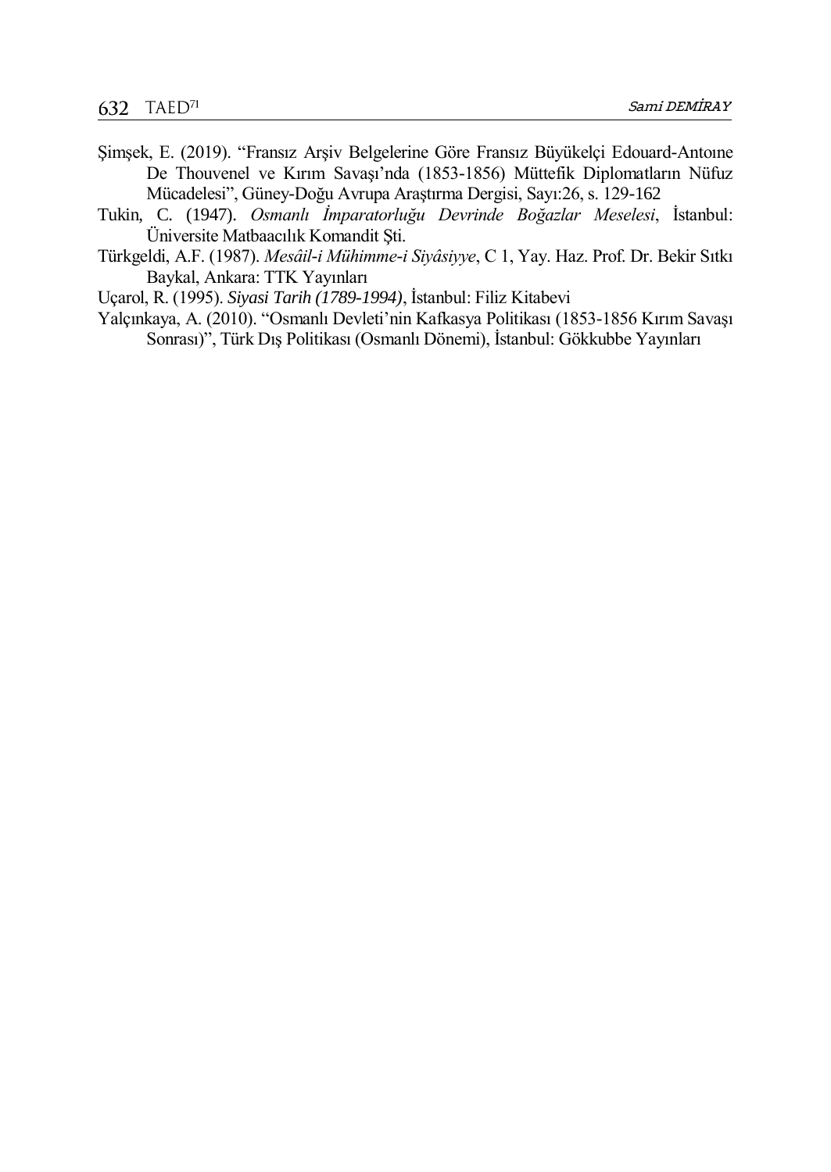- Şimşek, E. (2019). "Fransız Arşiv Belgelerine Göre Fransız Büyükelçi Edouard-Antoıne De Thouvenel ve Kırım Savaşı'nda (1853-1856) Müttefik Diplomatların Nüfuz Mücadelesi", Güney-Doğu Avrupa Araştırma Dergisi, Sayı:26, s. 129-162
- Tukin, C. (1947). *Osmanlı İmparatorluğu Devrinde Boğazlar Meselesi*, İstanbul: Üniversite Matbaacılık Komandit Şti.
- Türkgeldi, A.F. (1987). *Mesâil-i Mühimme-i Siyâsiyye*, C 1, Yay. Haz. Prof. Dr. Bekir Sıtkı Baykal, Ankara: TTK Yayınları
- Uçarol, R. (1995). *Siyasi Tarih (1789-1994)*, İstanbul: Filiz Kitabevi
- Yalçınkaya, A. (2010). "Osmanlı Devleti'nin Kafkasya Politikası (1853-1856 Kırım Savaşı Sonrası)", Türk Dış Politikası (Osmanlı Dönemi), İstanbul: Gökkubbe Yayınları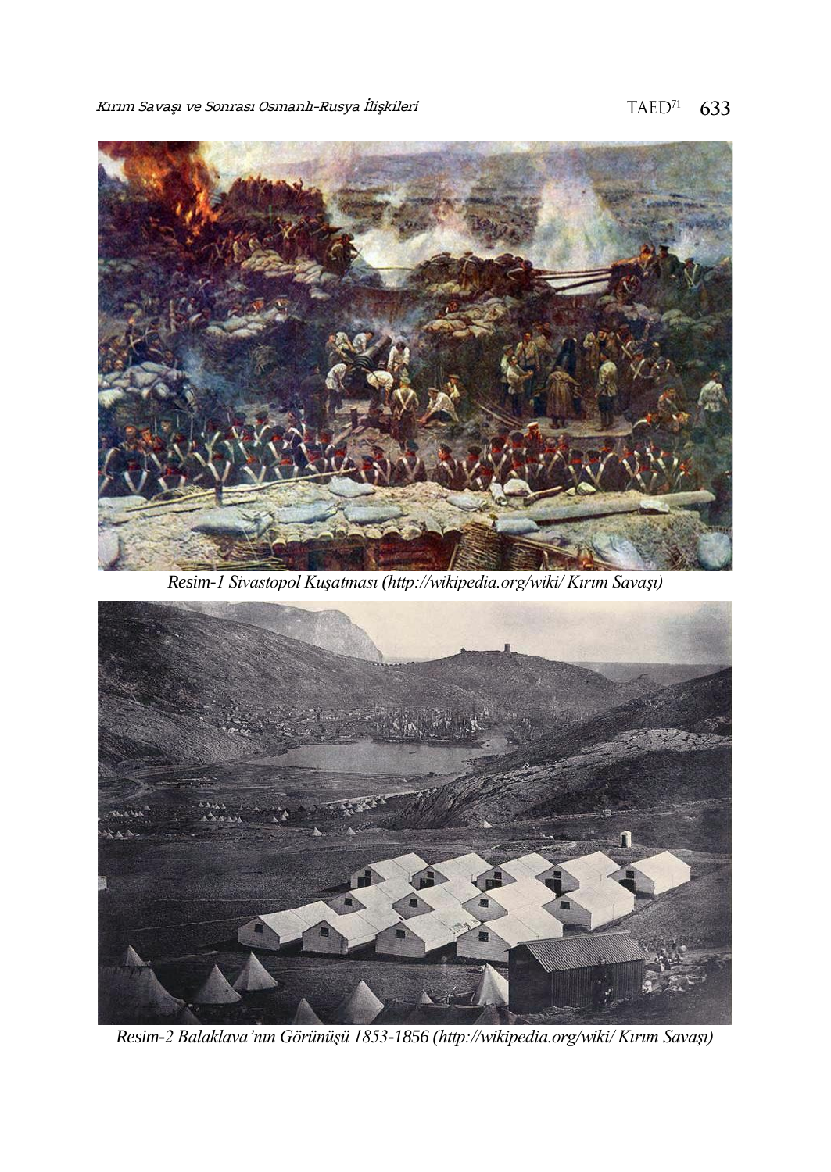

*Resim-1 Sivastopol Kuşatması [\(http://wikipedia.org/wiki/ Kırım](http://wikipedia.org/wiki/%20Kırım) Savaşı)*



*Resim-2 Balaklava'nın Görünüşü 1853-1856 [\(http://wikipedia.org/wiki/ Kırım](http://wikipedia.org/wiki/%20Kırım) Savaşı)*